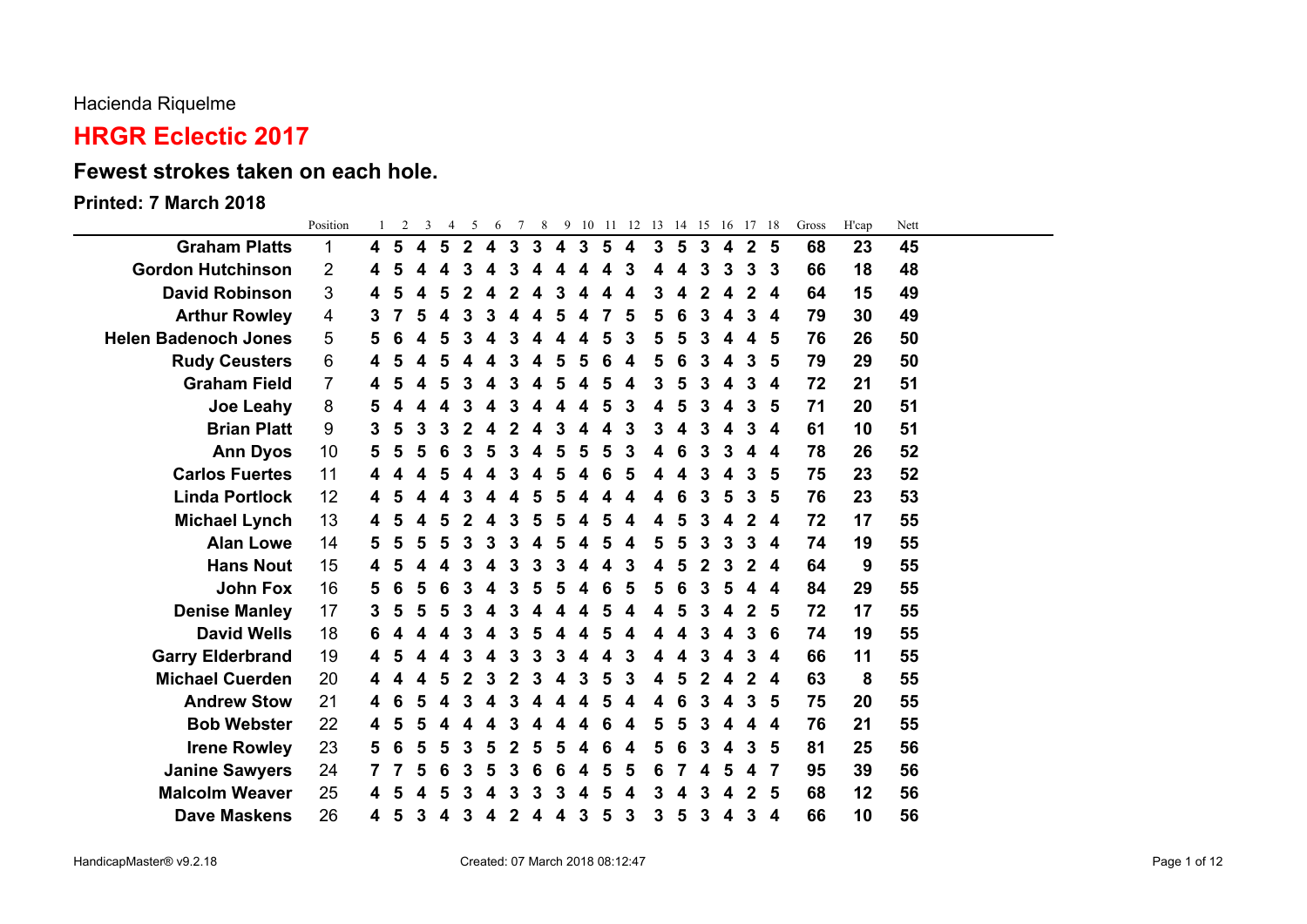#### Hacienda Riquelme

# **HRGR Eclectic 2017**

### **Fewest strokes taken on each hole.**

#### **Printed: 7 March 2018**

|                             | Position       |    | 2 | 3 | $\overline{4}$ | 5           | 6 | $7\overline{ }$ | 8 <sup>8</sup> |   |   |   | 9 10 11 12 13 14 15 16 17 18 |   |   |   |   |                |   | Gross | H'cap | Nett |  |
|-----------------------------|----------------|----|---|---|----------------|-------------|---|-----------------|----------------|---|---|---|------------------------------|---|---|---|---|----------------|---|-------|-------|------|--|
| <b>Graham Platts</b>        | 1              | 4  | 5 | 4 | 5              | $\mathbf 2$ | 4 | 3               | 3              | 4 | 3 | 5 | 4                            | 3 | 5 | 3 | 4 | 2 <sub>5</sub> |   | 68    | 23    | 45   |  |
| <b>Gordon Hutchinson</b>    | 2              | 4  | 5 |   |                | З           |   | 3               |                |   |   |   | 3                            |   |   | 3 | 3 | 3              | 3 | 66    | 18    | 48   |  |
| <b>David Robinson</b>       | 3              | 4  | 5 |   |                |             |   |                 |                |   |   |   |                              |   |   |   |   | 2              | 4 | 64    | 15    | 49   |  |
| <b>Arthur Rowley</b>        | 4              | 3  |   | 5 |                | 3           | 3 |                 |                | 5 | 4 |   | 5                            | 5 | 6 | 3 |   | 3              | 4 | 79    | 30    | 49   |  |
| <b>Helen Badenoch Jones</b> | 5              | 5  | 6 |   |                |             |   |                 |                |   |   |   |                              |   |   | 3 |   | 4              | 5 | 76    | 26    | 50   |  |
| <b>Rudy Ceusters</b>        | 6              |    |   |   |                |             |   |                 |                |   |   |   |                              |   |   |   |   | 3              | 5 | 79    | 29    | 50   |  |
| <b>Graham Field</b>         | $\overline{7}$ |    |   |   |                |             |   |                 |                |   |   |   |                              |   |   | 3 |   | 3              | 4 | 72    | 21    | 51   |  |
| <b>Joe Leahy</b>            | 8              |    |   |   |                |             |   |                 |                |   |   |   | 3                            |   |   |   |   | 3              | 5 | 71    | 20    | 51   |  |
| <b>Brian Platt</b>          | 9              | 3  | 5 | 3 |                |             |   |                 |                | З |   |   | 3                            | 3 |   | 3 |   | 3              | 4 | 61    | 10    | 51   |  |
| <b>Ann Dyos</b>             | 10             | 5  | 5 | 5 |                | 3           |   |                 |                |   | 5 |   | 3                            |   |   | 3 | 3 | 4              | 4 | 78    | 26    | 52   |  |
| <b>Carlos Fuertes</b>       | 11             |    |   |   |                |             |   |                 |                |   |   |   |                              |   |   |   |   | 3              | 5 | 75    | 23    | 52   |  |
| <b>Linda Portlock</b>       | 12             |    |   |   |                |             |   |                 |                |   |   |   |                              |   |   | 3 | 5 | 3              | 5 | 76    | 23    | 53   |  |
| <b>Michael Lynch</b>        | 13             |    |   |   |                |             |   |                 |                |   |   |   |                              |   |   | 3 |   | 2              | 4 | 72    | 17    | 55   |  |
| <b>Alan Lowe</b>            | 14             | 5. | 5 | 5 | 5              | 3           | 3 | З               |                | 5 | 4 | 5 | 4                            | 5 | 5 | 3 | 3 | 3              | 4 | 74    | 19    | 55   |  |
| <b>Hans Nout</b>            | 15             | 4  |   |   |                |             |   |                 |                |   |   |   | 3                            |   |   | 2 |   | $\mathbf{2}$   | 4 | 64    | 9     | 55   |  |
| <b>John Fox</b>             | 16             | 5  | 6 |   |                |             |   |                 |                |   |   |   | 5                            |   |   |   |   |                | 4 | 84    | 29    | 55   |  |
| <b>Denise Manley</b>        | 17             | 3  | 5 |   |                |             |   |                 |                |   |   |   |                              |   |   | 3 |   | $\mathbf{2}$   | 5 | 72    | 17    | 55   |  |
| <b>David Wells</b>          | 18             |    |   |   |                |             |   |                 |                |   |   |   |                              |   |   |   |   | 3              | 6 | 74    | 19    | 55   |  |
| <b>Garry Elderbrand</b>     | 19             | 4  | 5 |   |                | 3           |   | 3               | З              | 3 | 4 |   | 3                            |   |   | 3 |   | 3              | 4 | 66    | 11    | 55   |  |
| <b>Michael Cuerden</b>      | 20             | 4  |   |   |                |             |   |                 |                |   |   |   |                              |   |   |   |   | 2              | 4 | 63    | 8     | 55   |  |
| <b>Andrew Stow</b>          | 21             |    | 6 |   |                |             |   |                 |                |   |   |   |                              |   |   |   |   | 3              | 5 | 75    | 20    | 55   |  |
| <b>Bob Webster</b>          | 22             |    |   |   |                |             |   |                 |                |   |   |   |                              |   |   | 3 |   | 4              | 4 | 76    | 21    | 55   |  |
| <b>Irene Rowley</b>         | 23             | 5  | 6 | 5 |                |             |   |                 |                |   |   |   |                              |   |   |   |   | 3              | 5 | 81    | 25    | 56   |  |
| <b>Janine Sawyers</b>       | 24             |    |   | 5 | 6              | 3           | 5 | 3               | 6              | 6 | 4 | 5 | 5                            | 6 |   |   | 5 | 4              | 7 | 95    | 39    | 56   |  |
| <b>Malcolm Weaver</b>       | 25             |    |   |   |                |             |   |                 |                |   |   |   |                              |   |   |   |   | 2              | 5 | 68    | 12    | 56   |  |
| <b>Dave Maskens</b>         | 26             | 4  | 5 | 3 |                | 3           |   |                 |                |   | 3 | 5 | 3                            | 3 | 5 | 3 | 4 | 3              | 4 | 66    | 10    | 56   |  |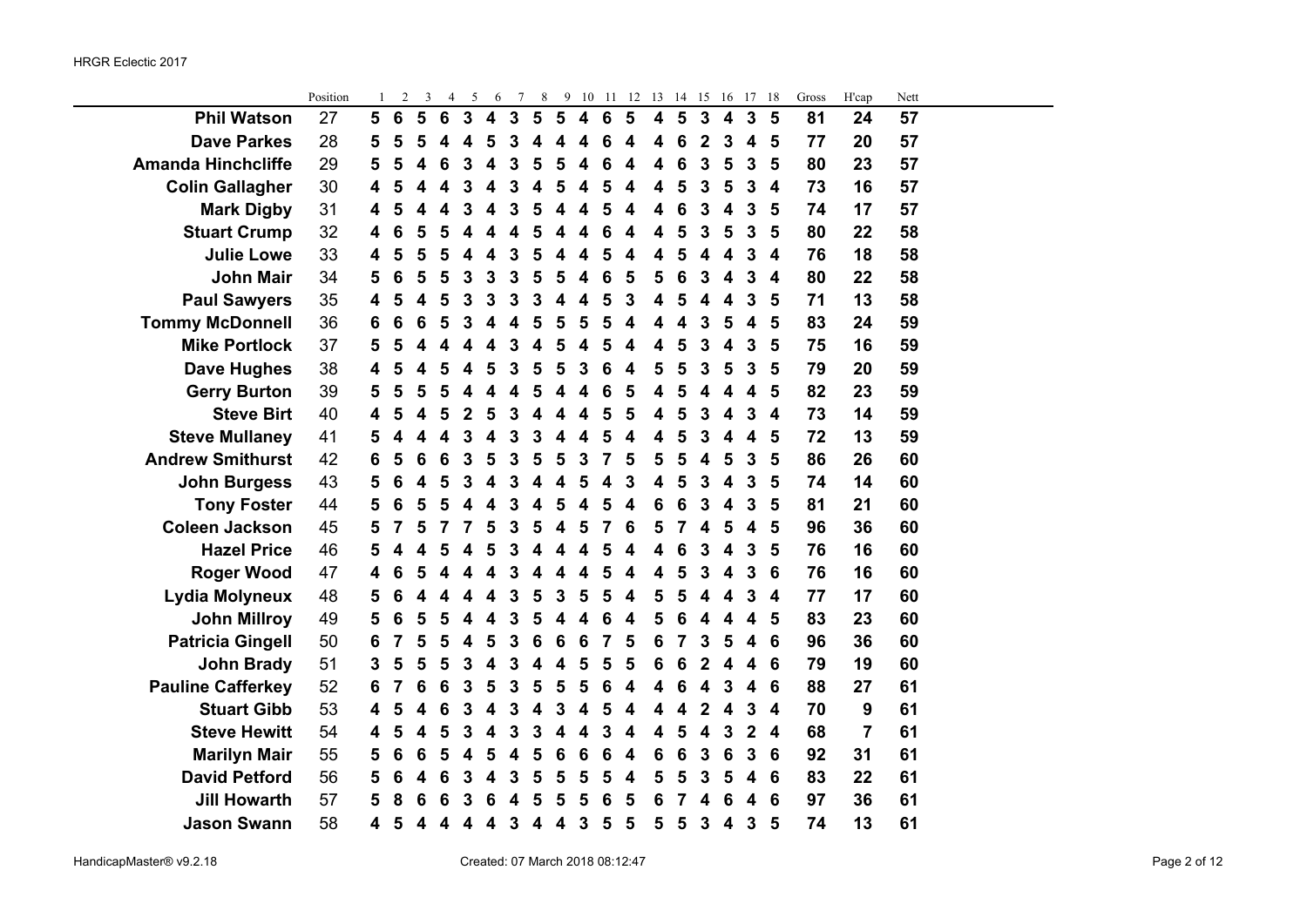|                           | Position |   | $\overline{c}$ | 3 | 4               | 5                | 6                       | 7                       | 8                       |                         |                         | 9 10 11          | 12                      |                         |                 | 13 14 15 16             |                         | 17                      | -18                     | Gross | H'cap          | Nett |  |
|---------------------------|----------|---|----------------|---|-----------------|------------------|-------------------------|-------------------------|-------------------------|-------------------------|-------------------------|------------------|-------------------------|-------------------------|-----------------|-------------------------|-------------------------|-------------------------|-------------------------|-------|----------------|------|--|
| <b>Phil Watson</b>        | 27       | 5 | 6              | 5 | $6\phantom{1}6$ | $\mathbf{3}$     | $\overline{\mathbf{4}}$ | $\overline{\mathbf{3}}$ | $5\phantom{1}$          | $5\phantom{1}$          | $\overline{\mathbf{4}}$ | $6\phantom{1}$   | $5\phantom{1}$          | $\overline{\mathbf{4}}$ | $5\phantom{1}$  | $\overline{\mathbf{3}}$ | $\overline{\mathbf{4}}$ | $\mathbf{3}$            | 5                       | 81    | 24             | 57   |  |
| <b>Dave Parkes</b>        | 28       | 5 | 5              | 5 | 4               | 4                | 5                       | 3                       | 4                       | 4                       | 4                       | 6                | $\overline{\mathbf{4}}$ | 4                       | 6               | $\overline{2}$          | $\mathbf{3}$            | $\overline{\mathbf{4}}$ | 5                       | 77    | 20             | 57   |  |
| <b>Amanda Hinchcliffe</b> | 29       | 5 | 5              | 4 | 6               | 3                | $\overline{\mathbf{4}}$ | 3                       | 5                       | 5                       | 4                       | 6                | 4                       | 4                       | 6               | 3                       | 5                       | $\mathbf 3$             | 5                       | 80    | 23             | 57   |  |
| <b>Colin Gallagher</b>    | 30       | 4 | 5              | 4 | 4               | 3                | 4                       | 3                       | $\overline{\mathbf{4}}$ | 5                       | 4                       | 5                | 4                       | 4                       | 5               | 3                       | 5                       | 3                       | $\overline{\mathbf{4}}$ | 73    | 16             | 57   |  |
| <b>Mark Digby</b>         | 31       | 4 | 5              | 4 | 4               | 3                | 4                       | 3                       | $\overline{\mathbf{5}}$ | 4                       | 4                       | 5                | $\overline{\mathbf{4}}$ | 4                       | 6               | $\mathbf{3}$            | $\overline{\mathbf{4}}$ | 3                       | 5                       | 74    | 17             | 57   |  |
| <b>Stuart Crump</b>       | 32       | 4 | 6              | 5 | 5               | $\boldsymbol{4}$ | $\overline{\mathbf{4}}$ | $\overline{\mathbf{4}}$ | 5                       | $\overline{\mathbf{4}}$ | 4                       | 6                | 4                       | 4                       | 5               | $\mathbf{3}$            | $5\phantom{1}$          | $\mathbf{3}$            | 5                       | 80    | 22             | 58   |  |
| <b>Julie Lowe</b>         | 33       | 4 | 5              | 5 | 5               |                  | 4                       | 3                       | 5                       | 4                       | 4                       | 5                | 4                       | 4                       | 5               | 4                       | 4                       | $\mathbf 3$             | $\boldsymbol{4}$        | 76    | 18             | 58   |  |
| <b>John Mair</b>          | 34       | 5 | 6              | 5 | 5               | 3                | 3                       | 3                       | 5                       | 5                       | $\boldsymbol{4}$        | 6                | 5                       | 5                       | 6               | 3                       | 4                       | 3                       | $\overline{4}$          | 80    | 22             | 58   |  |
| <b>Paul Sawyers</b>       | 35       | 4 | 5              | 4 | 5               | 3                | 3                       | 3                       | 3                       | 4                       | 4                       | 5                | 3                       | 4                       | 5               | 4                       | 4                       | $\mathbf 3$             | 5                       | 71    | 13             | 58   |  |
| <b>Tommy McDonnell</b>    | 36       | 6 | 6              | 6 | 5               | 3                | 4                       | 4                       | 5                       | 5                       | 5                       | 5                | 4                       | 4                       | 4               | 3                       | 5                       | $\overline{\mathbf{4}}$ | 5                       | 83    | 24             | 59   |  |
| <b>Mike Portlock</b>      | 37       | 5 | 5              | 4 | Δ               | 4                | 4                       | 3                       | 4                       | 5                       | $\overline{\mathbf{4}}$ | 5                | 4                       | 4                       | 5               | 3                       | 4                       | 3                       | 5                       | 75    | 16             | 59   |  |
| <b>Dave Hughes</b>        | 38       | 4 | 5              | 4 | 5               | 4                | 5                       | $\mathbf{3}$            | $\overline{\mathbf{5}}$ | 5                       | $\mathbf{3}$            | $\boldsymbol{6}$ | $\overline{\mathbf{4}}$ | 5                       | $5\phantom{1}$  | 3                       | 5                       | $\mathbf{3}$            | 5                       | 79    | 20             | 59   |  |
| <b>Gerry Burton</b>       | 39       | 5 | 5              | 5 | 5               | $\boldsymbol{4}$ | $\overline{\mathbf{4}}$ | 4                       | 5                       | 4                       | $\overline{\mathbf{4}}$ | 6                | 5                       | 4                       | 5               | $\overline{\mathbf{4}}$ | 4                       | $\boldsymbol{4}$        | 5                       | 82    | 23             | 59   |  |
| <b>Steve Birt</b>         | 40       | 4 | 5              | 4 | 5               | $\overline{2}$   | 5                       | 3                       | 4                       | 4                       | 4                       | 5                | 5                       | 4                       | 5               | 3                       | 4                       | 3                       | $\overline{4}$          | 73    | 14             | 59   |  |
| <b>Steve Mullaney</b>     | 41       | 5 | 4              | 4 | 4               | 3                | 4                       | 3                       | 3                       | 4                       | 4                       | 5                | 4                       | 4                       | 5               | 3                       | 4                       | $\boldsymbol{4}$        | 5                       | 72    | 13             | 59   |  |
| <b>Andrew Smithurst</b>   | 42       | 6 | 5              | 6 | 6               | 3                | 5                       | 3                       | 5                       | 5                       | 3                       | 7                | 5                       | 5                       | 5               | $\overline{\mathbf{4}}$ | 5                       | $\mathbf 3$             | 5                       | 86    | 26             | 60   |  |
| <b>John Burgess</b>       | 43       | 5 | 6              | 4 | 5               | 3                | 4                       | 3                       | 4                       | 4                       | 5                       | 4                | 3                       | 4                       | 5               | 3                       | 4                       | 3                       | 5                       | 74    | 14             | 60   |  |
| <b>Tony Foster</b>        | 44       | 5 | 6              | 5 | 5               | 4                | 4                       | 3                       | $\overline{\mathbf{4}}$ | 5                       | $\overline{\mathbf{4}}$ | 5                | $\overline{\mathbf{4}}$ | 6                       | 6               | 3                       | $\overline{\mathbf{4}}$ | 3                       | 5                       | 81    | 21             | 60   |  |
| <b>Coleen Jackson</b>     | 45       | 5 |                | 5 | 7               | 7                | 5                       | $\mathbf{3}$            | $5\phantom{1}$          | $\overline{\mathbf{4}}$ | $5\phantom{1}$          | $\overline{7}$   | 6                       | 5                       | $\overline{7}$  | $\overline{\mathbf{4}}$ | 5                       | $\overline{\mathbf{4}}$ | 5                       | 96    | 36             | 60   |  |
| <b>Hazel Price</b>        | 46       | 5 | 4              |   | 5               | 4                | 5                       | 3                       | 4                       | 4                       | $\overline{\mathbf{4}}$ | 5                | 4                       | 4                       | 6               | 3                       | $\overline{\mathbf{4}}$ | $\mathbf{3}$            | 5                       | 76    | 16             | 60   |  |
| <b>Roger Wood</b>         | 47       | 4 | 6              |   |                 |                  |                         | 3                       | 4                       | 4                       | 4                       | 5                | 4                       | 4                       | 5               | 3                       | 4                       | 3                       | 6                       | 76    | 16             | 60   |  |
| Lydia Molyneux            | 48       | 5 | 6              | Δ | Δ               |                  | 4                       | 3                       | 5                       | 3                       | 5                       | 5                | 4                       | 5                       | 5               | 4                       | 4                       | 3                       | $\overline{\mathbf{4}}$ | 77    | 17             | 60   |  |
| <b>John Millroy</b>       | 49       | 5 | 6              | 5 | 5               | 4                | $\overline{\mathbf{4}}$ | 3                       | 5                       | 4                       | 4                       | 6                | 4                       | 5                       | 6               | $\overline{\mathbf{4}}$ | $\boldsymbol{4}$        | $\boldsymbol{4}$        | 5                       | 83    | 23             | 60   |  |
| <b>Patricia Gingell</b>   | 50       | 6 | 7              | 5 | 5               | 4                | 5                       | 3                       | 6                       | 6                       | $6\phantom{1}6$         | $\overline{7}$   | 5                       | 6                       | 7               | 3                       | 5                       | $\overline{\mathbf{4}}$ | 6                       | 96    | 36             | 60   |  |
| <b>John Brady</b>         | 51       | 3 | 5              | 5 | 5               | $\mathbf{3}$     | $\overline{\mathbf{4}}$ | 3                       | $\boldsymbol{4}$        | $\overline{\mathbf{4}}$ | $5\phantom{1}$          | 5                | 5                       | 6                       | $6\phantom{1}6$ | $\boldsymbol{2}$        | 4                       | 4                       | 6                       | 79    | 19             | 60   |  |
| <b>Pauline Cafferkey</b>  | 52       | 6 | 7              | 6 | 6               | $\mathbf{3}$     | 5                       | $\mathbf{3}$            | $\overline{\mathbf{5}}$ | $\overline{\mathbf{5}}$ | 5                       | $6\phantom{1}6$  | $\overline{\mathbf{4}}$ | $\overline{\mathbf{4}}$ | $6\phantom{1}6$ | $\overline{\mathbf{4}}$ | $\mathbf{3}$            | $\overline{\mathbf{4}}$ | 6                       | 88    | 27             | 61   |  |
| <b>Stuart Gibb</b>        | 53       | 4 | 5              | 4 | 6               | 3                | $\overline{\mathbf{4}}$ | 3                       | 4                       | 3                       | 4                       | 5                | 4                       | 4                       | 4               | $\overline{2}$          | 4                       | $\mathbf 3$             | $\overline{\mathbf{4}}$ | 70    | 9              | 61   |  |
| <b>Steve Hewitt</b>       | 54       | 4 | 5              | 4 | 5               | 3                | 4                       | 3                       | 3                       | 4                       | 4                       | 3                | 4                       | 4                       | 5               | 4                       | 3                       | $\mathbf 2$             | $\boldsymbol{4}$        | 68    | $\overline{7}$ | 61   |  |
| <b>Marilyn Mair</b>       | 55       | 5 | 6              | 6 | 5               | 4                | 5                       | 4                       | 5                       | 6                       | $6\phantom{1}6$         | 6                | $\overline{\mathbf{4}}$ | 6                       | 6               | $\mathbf{3}$            | 6                       | 3                       | 6                       | 92    | 31             | 61   |  |
| <b>David Petford</b>      | 56       | 5 | 6              | 4 | 6               | 3                | 4                       | 3                       | 5                       | 5                       | 5                       | 5                | 4                       | 5                       | 5               | 3                       | 5                       | $\overline{\mathbf{4}}$ | 6                       | 83    | 22             | 61   |  |
| <b>Jill Howarth</b>       | 57       | 5 | 8              | 6 |                 | 3                | 6                       | 4                       | 5                       | 5                       | 5                       | 6                | 5                       | 6                       | 7               | 4                       | 6                       | 4                       | 6                       | 97    | 36             | 61   |  |
| <b>Jason Swann</b>        | 58       | 4 | 5              | 4 | 4               | 4                | 4                       | $\mathbf{3}$            | $\overline{\mathbf{4}}$ | 4                       | $\mathbf{3}$            | $5\phantom{1}$   | 5                       | 5                       | 5               | $\mathbf{3}$            | 4                       | $\mathbf{3}$            | 5                       | 74    | 13             | 61   |  |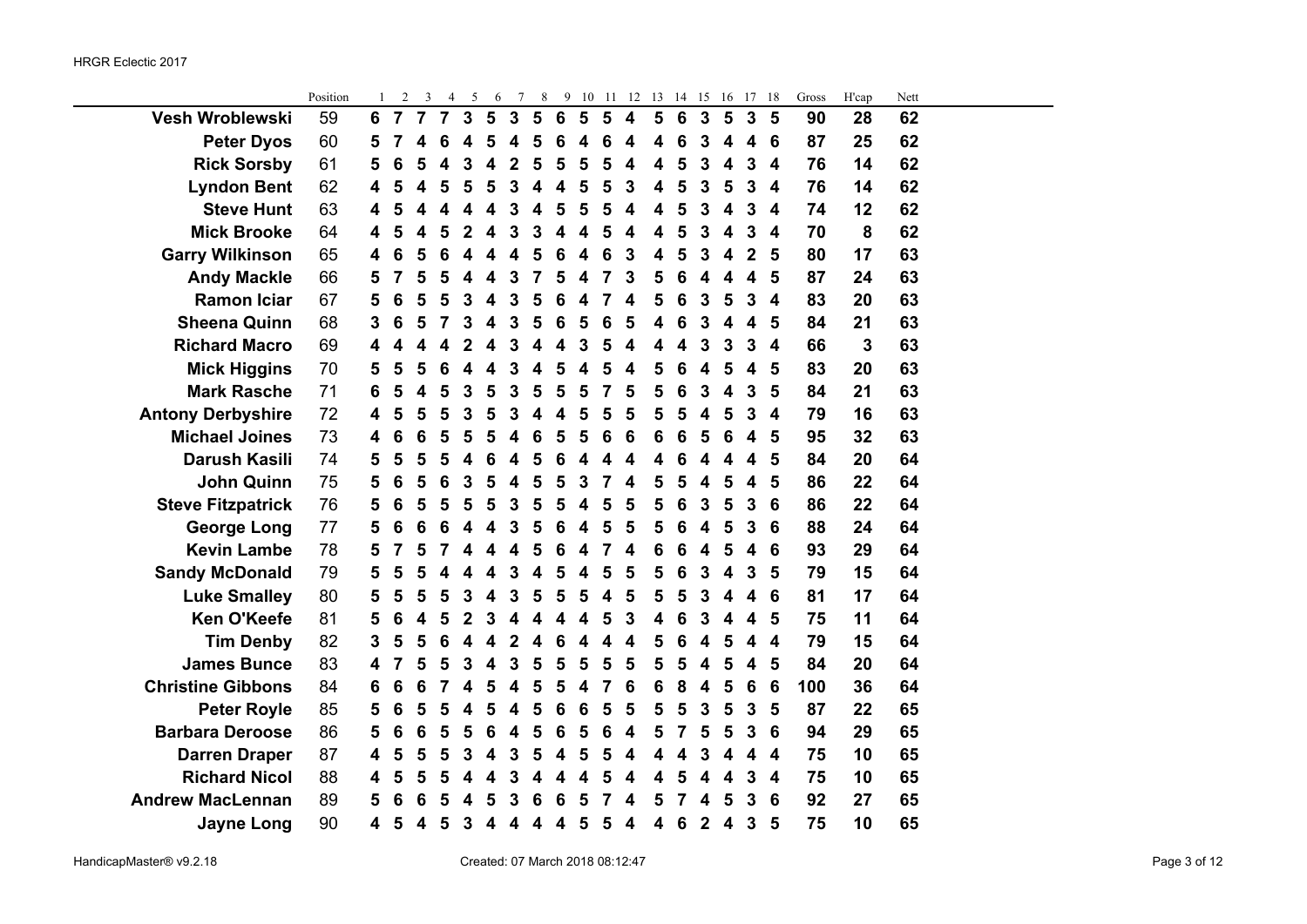$\sim$ 

|                          | Position | 1 | $\overline{c}$ | 3              | 4              | 5                       | 6              | 7                       | 8              | 9               | 10                      | -11            | 12                      | 13 | 14 | 15                      | 16 | 17             | 18                      | Gross | H'cap | Nett |  |
|--------------------------|----------|---|----------------|----------------|----------------|-------------------------|----------------|-------------------------|----------------|-----------------|-------------------------|----------------|-------------------------|----|----|-------------------------|----|----------------|-------------------------|-------|-------|------|--|
| Vesh Wroblewski          | 59       | 6 | $\overline{7}$ | $\overline{7}$ | $\overline{7}$ | $\mathbf{3}$            | $5\phantom{1}$ | $\mathbf{3}$            | $5\phantom{1}$ | $6\phantom{1}6$ | $5\phantom{1}$          | $5\phantom{1}$ | $\overline{\mathbf{4}}$ | 5  | 6  | $\overline{\mathbf{3}}$ | 5  | $\overline{3}$ | 5                       | 90    | 28    | 62   |  |
| <b>Peter Dyos</b>        | 60       | 5 | 7              | 4              | 6              | 4                       | 5              | Δ                       | 5              | 6               | 4                       | 6              | 4                       | 4  | 6  | 3                       | 4  | 4              | 6                       | 87    | 25    | 62   |  |
| <b>Rick Sorsby</b>       | 61       | 5 | 6              | 5              | 4              | 3                       | 4              | $\overline{2}$          | 5              | 5               | 5                       | 5              | 4                       | 4  | 5  | 3                       | 4  | 3              | 4                       | 76    | 14    | 62   |  |
| <b>Lyndon Bent</b>       | 62       | 4 | 5              | 4              | 5              | 5                       | 5              | 3                       | 4              | 4               | 5                       | 5              | 3                       | 4  | 5  | 3                       | 5  | 3              | 4                       | 76    | 14    | 62   |  |
| <b>Steve Hunt</b>        | 63       | 4 | 5              | 4              | 4              | 4                       | 4              | 3                       | 4              | 5               | 5                       | 5              | $\overline{\mathbf{4}}$ | 4  | 5  | 3                       | 4  | 3              | $\overline{\mathbf{4}}$ | 74    | 12    | 62   |  |
| <b>Mick Brooke</b>       | 64       | 4 | 5              | 4              | 5              | $\overline{2}$          | 4              | $\mathbf{3}$            | 3              | 4               | $\overline{\mathbf{4}}$ | 5              | 4                       | 4  | 5  | 3                       | 4  | 3              | 4                       | 70    | 8     | 62   |  |
| <b>Garry Wilkinson</b>   | 65       | 4 | 6              | 5              | 6              | 4                       | 4              | 4                       | 5              | 6               | 4                       | 6              | 3                       | 4  | 5  | 3                       | 4  | $\overline{2}$ | 5                       | 80    | 17    | 63   |  |
| <b>Andy Mackle</b>       | 66       | 5 | 7              | 5              | 5              | 4                       | 4              | 3                       | 7              | 5               | 4                       | 7              | 3                       | 5  | 6  | 4                       | 4  | 4              | 5                       | 87    | 24    | 63   |  |
| <b>Ramon Iciar</b>       | 67       | 5 | 6              | 5              | 5              | 3                       | 4              | 3                       | 5              | 6               | 4                       | 7              | 4                       | 5  | 6  | 3                       | 5  | 3              | 4                       | 83    | 20    | 63   |  |
| <b>Sheena Quinn</b>      | 68       | 3 | 6              | 5              | 7              | 3                       | 4              | 3                       | 5              | 6               | 5                       | 6              | 5                       | 4  | 6  | 3                       | 4  | 4              | 5                       | 84    | 21    | 63   |  |
| <b>Richard Macro</b>     | 69       | 4 | 4              | 4              | 4              | 2                       | 4              | 3                       | 4              | 4               | 3                       | 5              | 4                       | 4  | 4  | 3                       | 3  | 3              | $\boldsymbol{4}$        | 66    | 3     | 63   |  |
| <b>Mick Higgins</b>      | 70       | 5 | 5              | 5              | 6              | 4                       | 4              | 3                       | 4              | 5               | 4                       | 5              | 4                       | 5  | 6  | 4                       | 5  | 4              | 5                       | 83    | 20    | 63   |  |
| <b>Mark Rasche</b>       | 71       | 6 | 5              | 4              | 5              | 3                       | 5              | 3                       | 5              | 5               | 5                       | 7              | 5                       | 5  | 6  | 3                       | 4  | 3              | 5                       | 84    | 21    | 63   |  |
| <b>Antony Derbyshire</b> | 72       | 4 | 5              | 5              | 5              | 3                       | 5              | 3                       | 4              | 4               | 5                       | 5              | 5                       | 5  | 5  | 4                       | 5  | 3              | 4                       | 79    | 16    | 63   |  |
| <b>Michael Joines</b>    | 73       | 4 | 6              | 6              | 5              | 5                       | 5              | 4                       | 6              | 5               | 5                       | 6              | 6                       | 6  | 6  | 5                       | 6  | 4              | 5                       | 95    | 32    | 63   |  |
| <b>Darush Kasili</b>     | 74       | 5 | 5              | 5              | 5              | 4                       | 6              | 4                       | 5              | 6               | 4                       | 4              | 4                       | 4  | 6  | 4                       | Δ  | 4              | 5                       | 84    | 20    | 64   |  |
| <b>John Quinn</b>        | 75       | 5 | 6              | 5              | 6              | 3                       | 5              | 4                       | 5              | 5               | 3                       | $\overline{7}$ | 4                       | 5  | 5  | 4                       | 5  | 4              | 5                       | 86    | 22    | 64   |  |
| <b>Steve Fitzpatrick</b> | 76       | 5 | 6              | 5              | 5              | 5                       | 5              | 3                       | 5              | 5               | 4                       | 5              | 5                       | 5  | 6  | 3                       | 5  | 3              | 6                       | 86    | 22    | 64   |  |
| <b>George Long</b>       | 77       | 5 | 6              | 6              | 6              | 4                       | 4              | 3                       | 5              | 6               | 4                       | 5              | 5                       | 5  | 6  | 4                       | 5  | 3              | 6                       | 88    | 24    | 64   |  |
| <b>Kevin Lambe</b>       | 78       | 5 | 7              | 5              | 7              | 4                       | 4              | 4                       | 5              | 6               | 4                       | 7              | 4                       | 6  | 6  | 4                       | 5  | 4              | 6                       | 93    | 29    | 64   |  |
| <b>Sandy McDonald</b>    | 79       | 5 | 5              | 5              | 4              |                         | 4              | 3                       | 4              | 5               | 4                       | 5              | 5                       | 5  | 6  | 3                       | 4  | 3              | 5                       | 79    | 15    | 64   |  |
| <b>Luke Smalley</b>      | 80       | 5 | 5              | 5              | 5              | 3                       | 4              | 3                       | 5              | 5               | 5                       | 4              | 5                       | 5  | 5  | 3                       | 4  | 4              | 6                       | 81    | 17    | 64   |  |
| <b>Ken O'Keefe</b>       | 81       | 5 | 6              | 4              | 5              | $\overline{2}$          | 3              | 4                       | 4              | 4               | 4                       | 5              | 3                       | 4  | 6  | 3                       | 4  | 4              | 5                       | 75    | 11    | 64   |  |
| <b>Tim Denby</b>         | 82       | 3 | 5              | 5              | 6              | 4                       | 4              | $\overline{2}$          | 4              | 6               | 4                       | 4              | 4                       | 5  | 6  | 4                       | 5  | 4              | $\overline{\mathbf{4}}$ | 79    | 15    | 64   |  |
| <b>James Bunce</b>       | 83       | 4 | 7              | 5              | 5              | 3                       | 4              | 3                       | 5              | 5               | 5                       | 5              | 5                       | 5  | 5  | 4                       | 5  | 4              | 5                       | 84    | 20    | 64   |  |
| <b>Christine Gibbons</b> | 84       | 6 | 6              | 6              | $\overline{7}$ | $\overline{\mathbf{4}}$ | 5              | $\overline{\mathbf{4}}$ | 5              | 5               | $\overline{\mathbf{4}}$ | 7              | 6                       | 6  | 8  | 4                       | 5  | 6              | 6                       | 100   | 36    | 64   |  |
| <b>Peter Royle</b>       | 85       | 5 | 6              | 5              | 5              | 4                       | 5              | 4                       | 5              | 6               | 6                       | 5              | 5                       | 5  | 5  | 3                       | 5  | 3              | 5                       | 87    | 22    | 65   |  |
| <b>Barbara Deroose</b>   | 86       | 5 | 6              | 6              | 5              | 5                       | 6              | 4                       | 5              | 6               | 5                       | 6              | 4                       | 5  | 7  | 5                       | 5  | 3              | 6                       | 94    | 29    | 65   |  |
| <b>Darren Draper</b>     | 87       | 4 | 5              | 5              | 5              | 3                       | 4              | 3                       | 5              | 4               | 5                       | 5              | 4                       | 4  | 4  | 3                       | Δ  | 4              | 4                       | 75    | 10    | 65   |  |
| <b>Richard Nicol</b>     | 88       | 4 | 5              | 5              | 5              | 4                       | 4              | 3                       | 4              | 4               | 4                       | 5              | 4                       | 4  | 5  | Δ                       | 4  | 3              | 4                       | 75    | 10    | 65   |  |
| <b>Andrew MacLennan</b>  | 89       | 5 | 6              | 6              | 5              |                         | 5              | 3                       | 6              | 6               | 5                       | 7              | 4                       | 5  | 7  | 4                       | 5  | 3              | 6                       | 92    | 27    | 65   |  |
| <b>Jayne Long</b>        | 90       | 4 | 5              | 4              | 5              | 3                       | 4              | 4                       | 4              | 4               | 5                       | 5              | 4                       | 4  | 6  | $\mathbf 2$             | 4  | 3              | 5                       | 75    | 10    | 65   |  |
|                          |          |   |                |                |                |                         |                |                         |                |                 |                         |                |                         |    |    |                         |    |                |                         |       |       |      |  |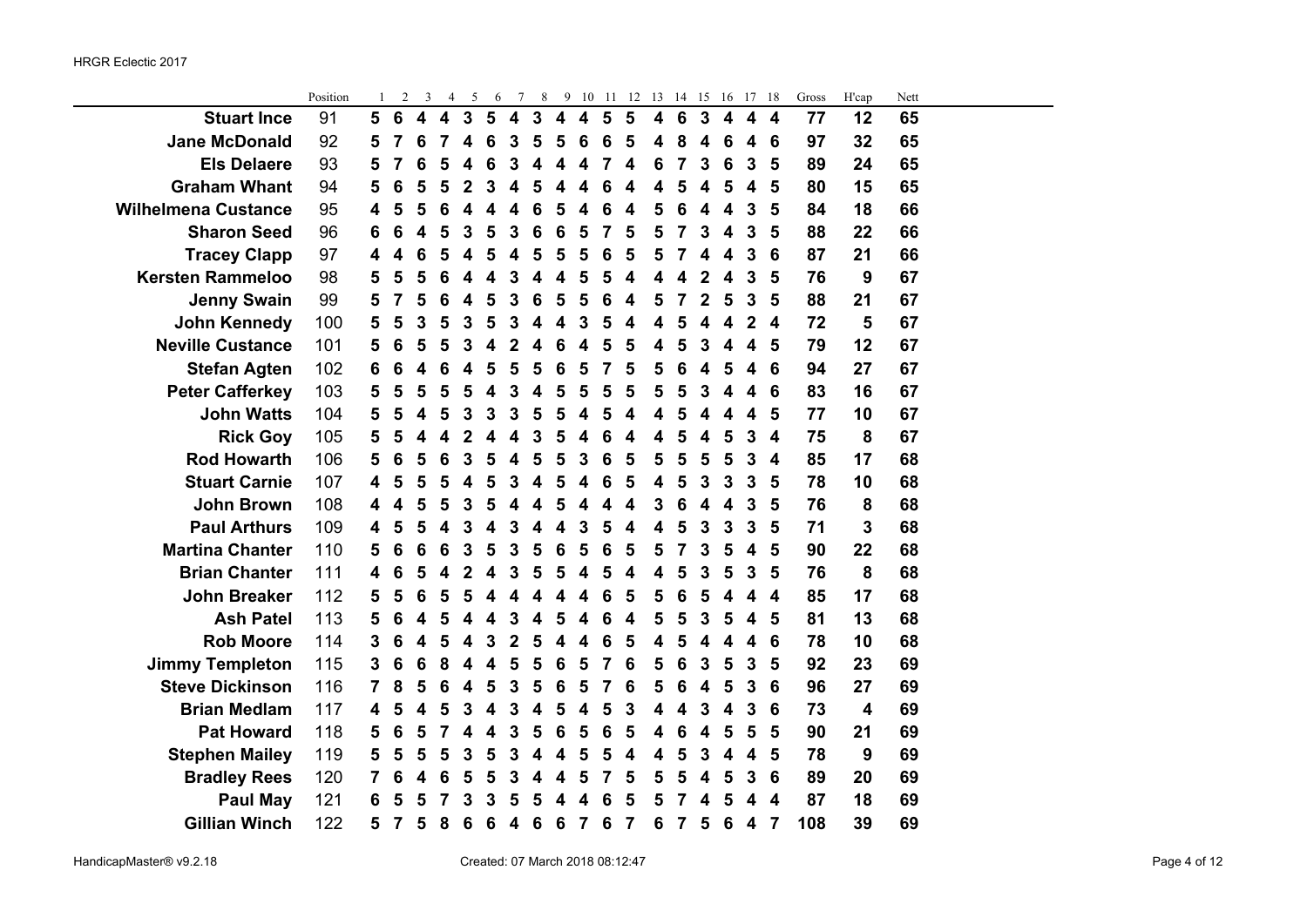|                            | Position | 1 | $\overline{c}$ | 3 | 4 | 5            | 6 | 7                       | 8            |                         | 9 10                    | - 11                    | 12                      | 13 | 14 | 15             | 16 | 17           | -18 | Gross | H'cap | Nett |  |
|----------------------------|----------|---|----------------|---|---|--------------|---|-------------------------|--------------|-------------------------|-------------------------|-------------------------|-------------------------|----|----|----------------|----|--------------|-----|-------|-------|------|--|
| <b>Stuart Ince</b>         | 91       | 5 | 6              | 4 | 4 | $\mathbf{3}$ | 5 | $\overline{\mathbf{4}}$ | $\mathbf{3}$ | $\overline{\mathbf{4}}$ | $\overline{\mathbf{4}}$ | 5                       | 5                       | 4  | 6  | 3              | 4  | 4            | 4   | 77    | 12    | 65   |  |
| <b>Jane McDonald</b>       | 92       | 5 |                | 6 |   | 4            | 6 | 3                       | 5            | 5                       | 6                       | 6                       | 5                       | 4  | 8  | 4              | 6  | 4            | 6   | 97    | 32    | 65   |  |
| <b>Els Delaere</b>         | 93       | 5 | 7              | 6 | 5 | 4            | 6 | 3                       | 4            | 4                       | 4                       | 7                       | 4                       | 6  | 7  | 3              | 6  | 3            | 5   | 89    | 24    | 65   |  |
| <b>Graham Whant</b>        | 94       | 5 | 6              | 5 | 5 | 2            | 3 | 4                       | 5            | 4                       | 4                       | 6                       | 4                       | 4  | 5  | 4              | 5  | 4            | 5   | 80    | 15    | 65   |  |
| <b>Wilhelmena Custance</b> | 95       | 4 | 5              | 5 | 6 | 4            | 4 | 4                       | 6            | 5                       | $\overline{\mathbf{4}}$ | 6                       | $\overline{\mathbf{4}}$ | 5  | 6  | 4              | 4  | 3            | 5   | 84    | 18    | 66   |  |
| <b>Sharon Seed</b>         | 96       | 6 | 6              | 4 | 5 | 3            | 5 | 3                       | 6            | $6\phantom{1}6$         | $5\phantom{1}$          | $\overline{\mathbf{z}}$ | 5                       | 5  |    | 3              | 4  | 3            | 5   | 88    | 22    | 66   |  |
| <b>Tracey Clapp</b>        | 97       | 4 | 4              | 6 | 5 |              | 5 | 4                       | 5            | 5                       | 5                       | 6                       | 5                       | 5  |    | 4              | 4  | 3            | 6   | 87    | 21    | 66   |  |
| <b>Kersten Rammeloo</b>    | 98       | 5 | 5              | 5 | 6 |              |   | 3                       | 4            | 4                       | 5                       | 5                       | 4                       | 4  |    | 2              | 4  | 3            | 5   | 76    | 9     | 67   |  |
| <b>Jenny Swain</b>         | 99       | 5 | 7              | 5 | 6 | 4            | 5 | 3                       | 6            | 5                       | 5                       | 6                       | 4                       | 5  |    | $\overline{2}$ | 5  | 3            | 5   | 88    | 21    | 67   |  |
| <b>John Kennedy</b>        | 100      | 5 | 5              | 3 | 5 | 3            | 5 | 3                       | 4            | 4                       | 3                       | 5                       | 4                       | 4  | 5  | 4              | 4  | $\mathbf 2$  | 4   | 72    | 5     | 67   |  |
| <b>Neville Custance</b>    | 101      | 5 | 6              | 5 | 5 | 3            | 4 | $\overline{2}$          | 4            | 6                       | $\overline{\mathbf{4}}$ | 5                       | 5                       | 4  | 5  | 3              | 4  | 4            | 5   | 79    | 12    | 67   |  |
| <b>Stefan Agten</b>        | 102      | 6 | 6              | 4 | 6 | 4            | 5 | 5                       | 5            | $6\phantom{1}6$         | 5                       | 7                       | 5                       | 5  | 6  | 4              | 5  | 4            | 6   | 94    | 27    | 67   |  |
| <b>Peter Cafferkey</b>     | 103      | 5 | 5              | 5 | 5 | 5            | 4 | 3                       | 4            | 5                       | 5                       | 5                       | 5                       | 5  | 5  | 3              | 4  | 4            | 6   | 83    | 16    | 67   |  |
| <b>John Watts</b>          | 104      | 5 | 5              | 4 | 5 | 3            | 3 | 3                       | 5            | 5                       | 4                       | 5                       | 4                       | 4  | 5  |                |    | 4            | 5   | 77    | 10    | 67   |  |
| <b>Rick Goy</b>            | 105      | 5 | 5              | 4 | 4 | 2            | 4 | 4                       | 3            | 5                       | 4                       | 6                       | 4                       | 4  | 5  | 4              | 5  | 3            | 4   | 75    | 8     | 67   |  |
| <b>Rod Howarth</b>         | 106      | 5 | 6              | 5 | 6 | 3            | 5 | 4                       | 5            | 5                       | 3                       | 6                       | 5                       | 5  | 5  | 5              | 5  | 3            | 4   | 85    | 17    | 68   |  |
| <b>Stuart Carnie</b>       | 107      | 4 | 5              | 5 | 5 |              | 5 | 3                       | 4            | 5                       | 4                       | 6                       | 5                       | 4  | 5  | 3              | 3  | 3            | 5   | 78    | 10    | 68   |  |
| <b>John Brown</b>          | 108      | 4 | 4              | 5 | 5 | 3            | 5 | 4                       | 4            | 5                       | 4                       | 4                       | 4                       | 3  | 6  | 4              | 4  | 3            | 5   | 76    | 8     | 68   |  |
| <b>Paul Arthurs</b>        | 109      | 4 | 5              | 5 | 4 | 3            | 4 | 3                       | 4            | $\overline{\mathbf{4}}$ | $\mathbf{3}$            | 5                       | 4                       | 4  | 5  | 3              | 3  | $\mathbf{3}$ | 5   | 71    | 3     | 68   |  |
| <b>Martina Chanter</b>     | 110      | 5 | 6              | 6 | 6 | 3            | 5 | 3                       | 5            | $6\phantom{1}6$         | $5\phantom{1}$          | $6\phantom{1}6$         | 5                       | 5  |    | 3              | 5  | 4            | 5   | 90    | 22    | 68   |  |
| <b>Brian Chanter</b>       | 111      | 4 | 6              | 5 |   | 2            |   | 3                       | 5            | 5                       | 4                       | 5                       | 4                       | 4  | 5  | 3              | 5  | 3            | 5   | 76    | 8     | 68   |  |
| <b>John Breaker</b>        | 112      | 5 | 5              | 6 | 5 | 5            | Δ | Δ                       | 4            | 4                       | 4                       | 6                       | 5                       | 5  | 6  | 5              | 4  | 4            | 4   | 85    | 17    | 68   |  |
| <b>Ash Patel</b>           | 113      | 5 | 6              |   |   |              | Δ | 3                       | 4            | 5                       | 4                       | 6                       | 4                       | 5  | 5  | 3              | 5  | 4            | 5   | 81    | 13    | 68   |  |
| <b>Rob Moore</b>           | 114      | 3 | 6              |   | 5 |              | 3 | $\mathbf 2$             | 5            | 4                       | 4                       | 6                       | 5                       | 4  | 5  | 4              |    | 4            | 6   | 78    | 10    | 68   |  |
| <b>Jimmy Templeton</b>     | 115      | 3 | 6              | 6 | 8 | 4            | 4 | 5                       | 5            | $6\phantom{1}6$         | 5                       | $\overline{7}$          | 6                       | 5  | 6  | 3              | 5  | 3            | 5   | 92    | 23    | 69   |  |
| <b>Steve Dickinson</b>     | 116      | 7 | 8              | 5 | 6 | 4            | 5 | 3                       | 5            | $6\phantom{1}6$         | 5                       | 7                       | 6                       | 5  | 6  | 4              | 5  | $\mathbf{3}$ | 6   | 96    | 27    | 69   |  |
| <b>Brian Medlam</b>        | 117      | 4 | 5              | 4 | 5 | 3            | 4 | 3                       | 4            | 5                       | 4                       | 5                       | 3                       | 4  | 4  | 3              | 4  | 3            | 6   | 73    | 4     | 69   |  |
| <b>Pat Howard</b>          | 118      | 5 | 6              | 5 |   |              | 4 | 3                       | 5            | 6                       | 5                       | 6                       | 5                       | 4  | 6  |                | 5  | 5            | 5   | 90    | 21    | 69   |  |
| <b>Stephen Mailey</b>      | 119      | 5 | 5              | 5 | 5 | 3            | 5 | 3                       | 4            | 4                       | 5                       | 5                       | 4                       | 4  | 5  | 3              | 4  | 4            | 5   | 78    | 9     | 69   |  |
| <b>Bradley Rees</b>        | 120      | 7 | 6              | 4 | 6 | 5            | 5 | 3                       | 4            | 4                       | 5                       | 7                       | 5                       | 5  |    | 4              | 5  | 3            | 6   | 89    | 20    | 69   |  |
| <b>Paul May</b>            | 121      | 6 | 5              | 5 |   |              |   | 5                       | 5            |                         | 4                       | 6                       | 5                       | 5  |    |                |    |              | 4   | 87    | 18    | 69   |  |
| <b>Gillian Winch</b>       | 122      | 5 | 7              | 5 | 8 | 6            | 6 | 4                       | 6            | 6                       | $\overline{\mathbf{z}}$ | 6                       | 7                       | 6  | 7  | 5              | 6  | 4            | 7   | 108   | 39    | 69   |  |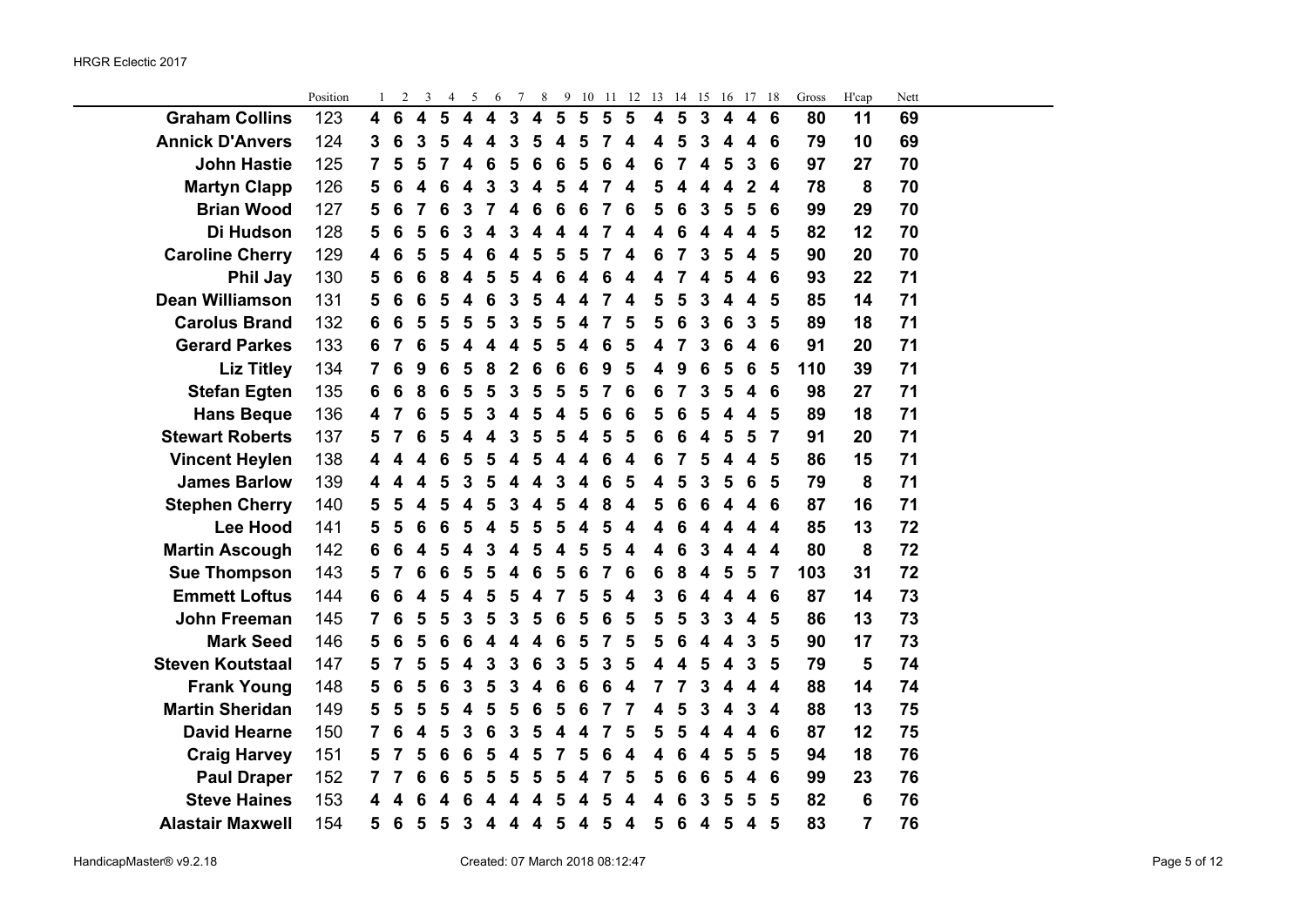÷.

|                         | Position | 1              | $\overline{c}$  | 3                       | $\overline{4}$ | 5                       | 6                       | $\tau$       | 8                       | 9              | 10 | 11             | 12              | 13                      | 14              | 15                      | 16                      | 17                      | 18                      | Gross | H'cap          | Nett |  |
|-------------------------|----------|----------------|-----------------|-------------------------|----------------|-------------------------|-------------------------|--------------|-------------------------|----------------|----|----------------|-----------------|-------------------------|-----------------|-------------------------|-------------------------|-------------------------|-------------------------|-------|----------------|------|--|
| <b>Graham Collins</b>   | 123      | 4              | $6\phantom{1}6$ | $\overline{\mathbf{4}}$ | 5              | $\overline{\mathbf{4}}$ | $\overline{\mathbf{4}}$ | $\mathbf{3}$ | $\overline{\mathbf{4}}$ | $5\phantom{1}$ | 5  | 5              | $5\phantom{1}$  | $\overline{\mathbf{4}}$ | 5               | $\mathbf{3}$            | $\overline{\mathbf{4}}$ | $\overline{\mathbf{4}}$ | $6\phantom{1}6$         | 80    | 11             | 69   |  |
| <b>Annick D'Anvers</b>  | 124      | 3              | 6               | 3                       | 5              | 4                       | 4                       | 3            | 5                       | 4              | 5  | 7              | 4               | 4                       | 5               | 3                       | 4                       | 4                       | 6                       | 79    | 10             | 69   |  |
| <b>John Hastie</b>      | 125      | $\overline{7}$ | 5               | 5                       | 7              | 4                       | 6                       | 5            | 6                       | 6              | 5  | 6              | 4               | $6\phantom{1}6$         | $\overline{7}$  | $\overline{\mathbf{4}}$ | 5                       | $\overline{\mathbf{3}}$ | 6                       | 97    | 27             | 70   |  |
| <b>Martyn Clapp</b>     | 126      | 5              | 6               | 4                       | 6              | 4                       | 3                       | 3            | 4                       | 5              | 4  | 7              | 4               | 5                       | 4               | 4                       | 4                       | $\overline{2}$          | 4                       | 78    | 8              | 70   |  |
| <b>Brian Wood</b>       | 127      | 5              | 6               | 7                       | 6              | 3                       | 7                       | 4            | 6                       | 6              | 6  | 7              | $6\phantom{1}6$ | 5                       | $6\phantom{1}6$ | $\mathbf{3}$            | 5                       | 5                       | $6\phantom{1}6$         | 99    | 29             | 70   |  |
| Di Hudson               | 128      | 5              | 6               | 5                       | 6              | 3                       | 4                       | 3            | 4                       | 4              | 4  | 7              | 4               | $\overline{\mathbf{4}}$ | 6               | $\overline{\mathbf{4}}$ | $\overline{\mathbf{4}}$ | $\overline{\mathbf{4}}$ | 5                       | 82    | 12             | 70   |  |
| <b>Caroline Cherry</b>  | 129      | 4              | 6               | 5                       | 5              | 4                       | 6                       | 4            | 5                       | 5              | 5  | 7              | 4               | 6                       | $\overline{7}$  | 3                       | 5                       | 4                       | 5                       | 90    | 20             | 70   |  |
| Phil Jay                | 130      | 5              | 6               | 6                       | 8              | 4                       | 5                       | 5            | 4                       | 6              | 4  | 6              | 4               | 4                       | $\overline{7}$  | 4                       | 5                       | 4                       | 6                       | 93    | 22             | 71   |  |
| <b>Dean Williamson</b>  | 131      | 5              | 6               | 6                       | 5              | 4                       | 6                       | 3            | 5                       | 4              | 4  | 7              | 4               | 5                       | 5               | 3                       | 4                       | 4                       | 5                       | 85    | 14             | 71   |  |
| <b>Carolus Brand</b>    | 132      | 6              | 6               | 5                       | 5              | 5                       | 5                       | 3            | 5                       | 5              | 4  | $\overline{7}$ | 5               | 5                       | 6               | 3                       | 6                       | $\mathbf{3}$            | 5                       | 89    | 18             | 71   |  |
| <b>Gerard Parkes</b>    | 133      | 6              | 7               | 6                       | 5              | 4                       | 4                       | 4            | 5                       | 5              | 4  | 6              | 5               | 4                       | 7               | 3                       | 6                       | $\overline{\mathbf{4}}$ | 6                       | 91    | 20             | 71   |  |
| <b>Liz Titley</b>       | 134      | 7              | 6               | 9                       | 6              | 5                       | 8                       | 2            | 6                       | 6              | 6  | 9              | 5               | 4                       | 9               | 6                       | 5                       | 6                       | 5                       | 110   | 39             | 71   |  |
| <b>Stefan Egten</b>     | 135      | 6              | 6               | 8                       | 6              | 5                       | 5                       | 3            | 5                       | 5              | 5  | $\overline{7}$ | 6               | 6                       | $\overline{7}$  | $\mathbf{3}$            | 5                       | $\overline{\mathbf{4}}$ | 6                       | 98    | 27             | 71   |  |
| <b>Hans Beque</b>       | 136      | 4              | 7               | $6\phantom{1}6$         | 5              | 5                       | 3                       | 4            | 5                       | 4              | 5  | 6              | 6               | 5                       | 6               | 5                       | 4                       | 4                       | 5                       | 89    | 18             | 71   |  |
| <b>Stewart Roberts</b>  | 137      | 5              | 7               | 6                       | 5              | 4                       | 4                       | 3            | 5                       | 5              | 4  | 5              | 5               | $6\phantom{1}6$         | $6\phantom{1}6$ | 4                       | 5                       | 5                       | $\overline{7}$          | 91    | 20             | 71   |  |
| <b>Vincent Heylen</b>   | 138      | 4              | 4               | 4                       | 6              | 5                       | 5                       | 4            | 5                       | 4              | 4  | 6              | 4               | 6                       | $\overline{7}$  | 5                       | $\overline{\mathbf{4}}$ | $\boldsymbol{4}$        | 5                       | 86    | 15             | 71   |  |
| <b>James Barlow</b>     | 139      | 4              | 4               | 4                       | 5              | 3                       | 5                       | 4            | 4                       | 3              | 4  | 6              | 5               | 4                       | 5               | 3                       | 5                       | 6                       | 5                       | 79    | 8              | 71   |  |
| <b>Stephen Cherry</b>   | 140      | 5              | 5               | 4                       | 5              | 4                       | 5                       | 3            | 4                       | 5              | 4  | 8              | 4               | 5                       | 6               | 6                       | $\overline{\mathbf{4}}$ | $\overline{\mathbf{4}}$ | 6                       | 87    | 16             | 71   |  |
| <b>Lee Hood</b>         | 141      | 5              | 5               | 6                       | 6              | 5                       | 4                       | 5            | 5                       | 5              | 4  | 5              | 4               | $\overline{\mathbf{4}}$ | 6               | 4                       | 4                       | $\overline{\mathbf{4}}$ | $\boldsymbol{4}$        | 85    | 13             | 72   |  |
| <b>Martin Ascough</b>   | 142      | 6              | 6               | 4                       | 5              | 4                       | 3                       | 4            | 5                       | 4              | 5  | 5              | 4               | 4                       | $6\phantom{1}6$ | $\overline{3}$          | $\overline{\mathbf{4}}$ | $\overline{\mathbf{4}}$ | $\overline{\mathbf{4}}$ | 80    | 8              | 72   |  |
| <b>Sue Thompson</b>     | 143      | 5              | 7               | 6                       | 6              | 5                       | 5                       | 4            | 6                       | 5              | 6  | 7              | 6               | 6                       | 8               | 4                       | 5                       | 5                       | $\overline{7}$          | 103   | 31             | 72   |  |
| <b>Emmett Loftus</b>    | 144      | 6              | 6               | 4                       | 5              | 4                       | 5                       | 5            | 4                       | 7              | 5  | 5              | 4               | 3                       | 6               | 4                       | 4                       | 4                       | 6                       | 87    | 14             | 73   |  |
| <b>John Freeman</b>     | 145      | $\overline{7}$ | 6               | 5                       | 5              | 3                       | 5                       | 3            | 5                       | 6              | 5  | 6              | 5               | 5                       | 5               | $\mathbf{3}$            | $\mathbf{3}$            | $\overline{\mathbf{4}}$ | 5                       | 86    | 13             | 73   |  |
| <b>Mark Seed</b>        | 146      | 5              | 6               | 5                       | 6              | 6                       | 4                       | 4            | 4                       | 6              | 5  | 7              | 5               | 5                       | 6               | 4                       | 4                       | 3                       | 5                       | 90    | 17             | 73   |  |
| <b>Steven Koutstaal</b> | 147      | 5              | 7               | 5                       | 5              | 4                       | 3                       | 3            | 6                       | 3              | 5  | 3              | 5               | $\overline{\mathbf{4}}$ | 4               | 5                       | $\overline{\mathbf{4}}$ | 3                       | 5                       | 79    | 5              | 74   |  |
| <b>Frank Young</b>      | 148      | 5              | 6               | 5                       | 6              | 3                       | 5                       | 3            | 4                       | 6              | 6  | 6              | 4               | 7                       | $\overline{7}$  | $\overline{\mathbf{3}}$ | $\overline{\mathbf{4}}$ | 4                       | $\overline{\mathbf{4}}$ | 88    | 14             | 74   |  |
| <b>Martin Sheridan</b>  | 149      | 5              | 5               | 5                       | 5              | 4                       | 5                       | 5            | 6                       | 5              | 6  | 7              | 7               | 4                       | 5               | 3                       | 4                       | 3                       | $\overline{\mathbf{4}}$ | 88    | 13             | 75   |  |
| <b>David Hearne</b>     | 150      | 7              | 6               | 4                       | 5              | 3                       | 6                       | 3            | 5                       | 4              | 4  | 7              | 5               | 5                       | 5               | 4                       | 4                       | 4                       | 6                       | 87    | 12             | 75   |  |
| <b>Craig Harvey</b>     | 151      | 5              | 7               | 5                       | 6              | 6                       | 5                       | 4            | 5                       | 7              | 5  | 6              | 4               | 4                       | 6               | 4                       | 5                       | 5                       | 5                       | 94    | 18             | 76   |  |
| <b>Paul Draper</b>      | 152      | $\overline{7}$ | 7               | 6                       | 6              | 5                       | 5                       | 5            | 5                       | 5              | 4  | 7              | 5               | 5                       | 6               | 6                       | 5                       | $\overline{\mathbf{4}}$ | 6                       | 99    | 23             | 76   |  |
| <b>Steve Haines</b>     | 153      | 4              |                 | 6                       |                |                         |                         |              |                         | 5              | 4  | 5              | 4               | 4                       | 6               | 3                       | 5                       | 5                       | 5                       | 82    | 6              | 76   |  |
| <b>Alastair Maxwell</b> | 154      | 5              | 6               | 5                       | 5              | 3                       | 4                       | 4            | 4                       | 5              | 4  | 5              | 4               | 5                       | $6\phantom{1}6$ | $\overline{\mathbf{4}}$ | 5                       | 4                       | 5                       | 83    | $\overline{7}$ | 76   |  |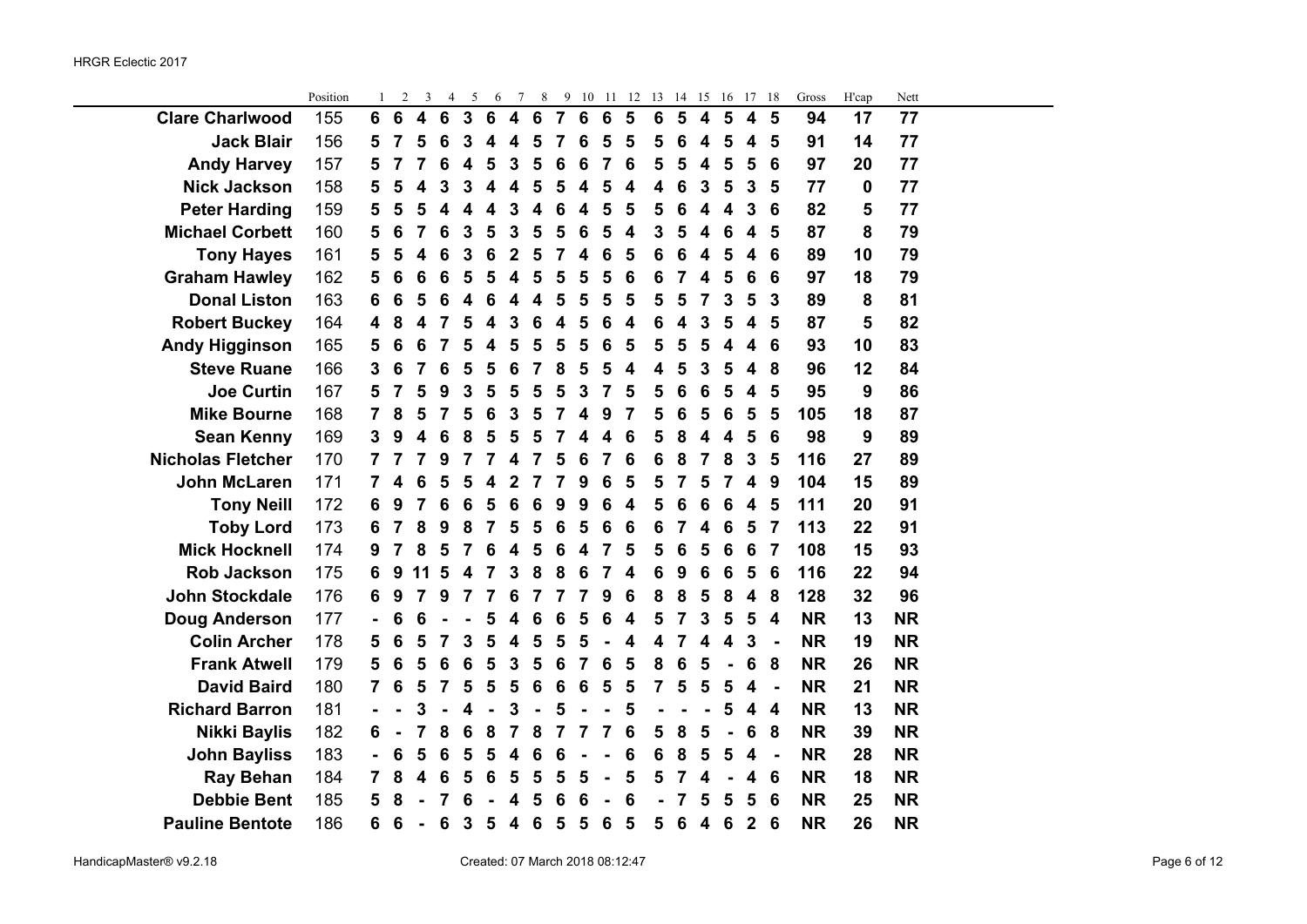$\overline{\phantom{0}}$ 

|                          | Position |                | 2               | 3                       | 4                       | 5                       | 6                       | 7                       | 8               |                 | 9 10            | -11             | 12 | 13              | 14 | 15                      | 16                      | 17 18                   |                         | Gross     | H'cap | Nett      |  |
|--------------------------|----------|----------------|-----------------|-------------------------|-------------------------|-------------------------|-------------------------|-------------------------|-----------------|-----------------|-----------------|-----------------|----|-----------------|----|-------------------------|-------------------------|-------------------------|-------------------------|-----------|-------|-----------|--|
| <b>Clare Charlwood</b>   | 155      | 6              | $6\phantom{1}$  | $\overline{\mathbf{4}}$ | $6\phantom{1}$          | $\mathbf{3}$            | $6\phantom{1}6$         | $\overline{\mathbf{4}}$ | 6               | $\overline{7}$  | 6               | $6\phantom{1}6$ | 5  | $6\phantom{1}6$ | 5  | 4                       | 5                       | 4                       | 5                       | 94        | 17    | 77        |  |
| <b>Jack Blair</b>        | 156      | 5              | $\overline{7}$  | 5                       | $6\phantom{1}6$         | $\overline{3}$          | $\overline{\mathbf{4}}$ | 4                       | 5               | 7               | 6               | 5               | 5  | 5               | 6  | 4                       | 5                       | $\boldsymbol{4}$        | 5                       | 91        | 14    | 77        |  |
| <b>Andy Harvey</b>       | 157      | 5              | 7               | 7                       | $6\phantom{1}6$         | $\overline{\mathbf{4}}$ | $5\phantom{1}$          | $\mathbf{3}$            | 5               | 6               | 6               | 7               | 6  | 5               | 5  | 4                       | 5                       | 5                       | $6\phantom{1}6$         | 97        | 20    | 77        |  |
| <b>Nick Jackson</b>      | 158      | 5              | 5               | 4                       | 3                       | 3                       | $\overline{\mathbf{4}}$ | $\overline{\mathbf{4}}$ | 5               | 5               | 4               | 5               | 4  | 4               | 6  | 3                       | 5                       | 3                       | 5                       | 77        | 0     | 77        |  |
| <b>Peter Harding</b>     | 159      | 5              | 5               | 5                       | $\overline{\mathbf{4}}$ | $\overline{\mathbf{4}}$ | $\overline{\mathbf{4}}$ | 3                       | 4               | 6               | 4               | 5               | 5  | 5               | 6  | 4                       | 4                       | $\mathbf{3}$            | $6\phantom{1}6$         | 82        | 5     | 77        |  |
| <b>Michael Corbett</b>   | 160      | 5              | 6               | 7                       | $6\phantom{1}6$         | $\mathbf{3}$            | $5\phantom{1}$          | $\mathbf{3}$            | 5               | 5               | $6\phantom{1}6$ | 5               | 4  | $\mathbf{3}$    | 5  | $\overline{\mathbf{4}}$ | $6\phantom{1}6$         | $\overline{\mathbf{4}}$ | 5                       | 87        | 8     | 79        |  |
| <b>Tony Hayes</b>        | 161      | 5              | 5               | 4                       | 6                       | 3                       | 6                       | $\mathbf 2$             | 5               | 7               | 4               | 6               | 5  | 6               | 6  | 4                       | 5                       | 4                       | 6                       | 89        | 10    | 79        |  |
| <b>Graham Hawley</b>     | 162      | 5              | 6               | $6\phantom{1}6$         | $6\phantom{1}6$         | 5                       | 5                       | 4                       | 5               | 5               | 5               | 5               | 6  | 6               | 7  | 4                       | 5                       | 6                       | $6\phantom{1}6$         | 97        | 18    | 79        |  |
| <b>Donal Liston</b>      | 163      | 6              | 6               | 5                       | $6\phantom{1}6$         | $\overline{\mathbf{4}}$ | 6                       | $\overline{\mathbf{4}}$ | 4               | 5               | 5               | 5               | 5  | 5               | 5  | 7                       | 3                       | 5                       | $\overline{3}$          | 89        | 8     | 81        |  |
| <b>Robert Buckey</b>     | 164      | 4              | 8               | 4                       | $\overline{7}$          | 5                       | 4                       | 3                       | 6               | 4               | 5               | 6               | 4  | 6               | 4  | 3                       | 5                       | $\overline{\mathbf{4}}$ | 5                       | 87        | 5     | 82        |  |
| <b>Andy Higginson</b>    | 165      | 5              | 6               | 6                       | $\overline{7}$          | 5                       | $\overline{\mathbf{4}}$ | 5                       | 5               | 5               | 5               | 6               | 5  | 5               | 5  | 5                       | $\overline{\mathbf{4}}$ | $\boldsymbol{4}$        | $6\phantom{1}6$         | 93        | 10    | 83        |  |
| <b>Steve Ruane</b>       | 166      | 3              | 6               | 7                       | $6\phantom{1}6$         | 5                       | 5                       | $6\phantom{1}6$         | $\overline{7}$  | 8               | 5               | 5               | 4  | 4               | 5  | 3                       | 5                       | $\overline{\mathbf{4}}$ | 8                       | 96        | 12    | 84        |  |
| <b>Joe Curtin</b>        | 167      | 5              | 7               | 5                       | 9                       | 3                       | 5                       | 5                       | 5               | 5               | $\mathbf{3}$    | $\overline{7}$  | 5  | 5               | 6  | 6                       | 5                       | 4                       | 5                       | 95        | 9     | 86        |  |
| <b>Mike Bourne</b>       | 168      | $\overline{7}$ | 8               | 5                       | 7                       | 5                       | 6                       | 3                       | 5               | 7               | 4               | 9               | 7  | 5               | 6  | 5                       | 6                       | 5                       | 5                       | 105       | 18    | 87        |  |
| <b>Sean Kenny</b>        | 169      | 3              | 9               | 4                       | 6                       | 8                       | 5                       | 5                       | 5               | 7               | 4               | 4               | 6  | 5               | 8  | 4                       | 4                       | 5                       | $6\phantom{1}6$         | 98        | 9     | 89        |  |
| <b>Nicholas Fletcher</b> | 170      | 7              | 7               | 7                       | 9                       | 7                       | 7                       | 4                       | 7               | 5               | 6               | 7               | 6  | 6               | 8  | 7                       | 8                       | $\overline{\mathbf{3}}$ | 5                       | 116       | 27    | 89        |  |
| <b>John McLaren</b>      | 171      | $\overline{7}$ | 4               | 6                       | 5                       | 5                       | 4                       | $\mathbf{2}$            | 7               | 7               | 9               | 6               | 5  | 5               | 7  | 5                       | 7                       | 4                       | 9                       | 104       | 15    | 89        |  |
| <b>Tony Neill</b>        | 172      | 6              | 9               | $\overline{7}$          | $6\phantom{1}6$         | 6                       | 5                       | 6                       | 6               | 9               | 9               | 6               | 4  | 5               | 6  | 6                       | $6\phantom{1}6$         | 4                       | 5                       | 111       | 20    | 91        |  |
| <b>Toby Lord</b>         | 173      | 6              | 7               | 8                       | $\boldsymbol{9}$        | 8                       | 7                       | $5\phantom{1}$          | 5               | $6\phantom{1}6$ | 5               | 6               | 6  | 6               | 7  | 4                       | 6                       | 5                       | $\overline{7}$          | 113       | 22    | 91        |  |
| <b>Mick Hocknell</b>     | 174      | 9              | 7               | 8                       | 5                       | 7                       | 6                       | 4                       | 5               | 6               | 4               | 7               | 5  | 5               | 6  | 5                       | 6                       | 6                       | 7                       | 108       | 15    | 93        |  |
| <b>Rob Jackson</b>       | 175      | 6              | 9               | 11                      | 5                       | 4                       | 7                       | 3                       | 8               | 8               | 6               | 7               | 4  | 6               | 9  | 6                       | 6                       | 5                       | $6\phantom{1}6$         | 116       | 22    | 94        |  |
| <b>John Stockdale</b>    | 176      | 6              | 9               | $\overline{7}$          | 9                       | 7                       | 7                       | 6                       | $\overline{7}$  | 7               | 7               | 9               | 6  | 8               | 8  | 5                       | 8                       | $\overline{\mathbf{4}}$ | 8                       | 128       | 32    | 96        |  |
| <b>Doug Anderson</b>     | 177      |                | 6               | 6                       |                         |                         | 5                       | 4                       | 6               | 6               | 5               | 6               | 4  | 5               | 7  | 3                       | 5                       | 5                       | $\boldsymbol{4}$        | <b>NR</b> | 13    | <b>NR</b> |  |
| <b>Colin Archer</b>      | 178      | 5              | 6               | 5                       | 7                       | 3                       | 5                       | 4                       | 5               | 5               | 5               |                 | 4  | 4               | 7  | 4                       | 4                       | 3                       | $\blacksquare$          | <b>NR</b> | 19    | <b>NR</b> |  |
| <b>Frank Atwell</b>      | 179      | 5              | 6               | 5                       | $6\phantom{1}6$         | $6\phantom{1}6$         | 5                       | $\mathbf{3}$            | 5               | 6               | 7               | 6               | 5  | 8               | 6  | 5                       | $\blacksquare$          | $6\phantom{1}6$         | 8                       | <b>NR</b> | 26    | <b>NR</b> |  |
| <b>David Baird</b>       | 180      | $\overline{7}$ | 6               | 5                       | $\overline{7}$          | 5                       | $5\phantom{1}$          | 5                       | $6\phantom{1}6$ | 6               | 6               | 5               | 5  | 7               | 5  | 5                       | 5                       | 4                       | $\blacksquare$          | <b>NR</b> | 21    | <b>NR</b> |  |
| <b>Richard Barron</b>    | 181      |                |                 | 3                       |                         | 4                       |                         | 3                       |                 | 5               |                 |                 | 5  |                 |    |                         | 5                       | 4                       | $\overline{\mathbf{4}}$ | <b>NR</b> | 13    | <b>NR</b> |  |
| <b>Nikki Baylis</b>      | 182      | 6              | $\blacksquare$  | $\overline{7}$          | 8                       | 6                       | 8                       | $\overline{7}$          | 8               | 7               | 7               | 7               | 6  | 5               | 8  | 5                       | $\blacksquare$          | $6\phantom{1}6$         | 8                       | <b>NR</b> | 39    | <b>NR</b> |  |
| <b>John Bayliss</b>      | 183      |                | 6               | 5                       | $6\phantom{1}6$         | 5                       | 5                       | 4                       | 6               | 6               |                 |                 | 6  | 6               | 8  | 5                       | 5                       | 4                       | $\blacksquare$          | <b>NR</b> | 28    | <b>NR</b> |  |
| <b>Ray Behan</b>         | 184      | $\overline{7}$ | 8               | 4                       | $6\phantom{1}6$         | 5                       | 6                       | 5                       | 5               | 5               | 5               |                 | 5  | 5               | 7  | 4                       |                         | 4                       | 6                       | <b>NR</b> | 18    | <b>NR</b> |  |
| <b>Debbie Bent</b>       | 185      | 5              | 8               |                         | 7                       | 6                       |                         | 4                       | 5               | 6               | 6               |                 | 6  |                 | 7  | 5                       | 5                       | 5                       | $6\phantom{1}6$         | <b>NR</b> | 25    | <b>NR</b> |  |
| <b>Pauline Bentote</b>   | 186      | 6              | $6\phantom{1}6$ | $\blacksquare$          | 6                       | $\mathbf{3}$            | 5                       | $\overline{\mathbf{4}}$ | $6\phantom{1}6$ | 5               | 5               | 6               | 5  | 5               | 6  | $\overline{\mathbf{4}}$ | 6                       | $\overline{2}$          | 6                       | <b>NR</b> | 26    | <b>NR</b> |  |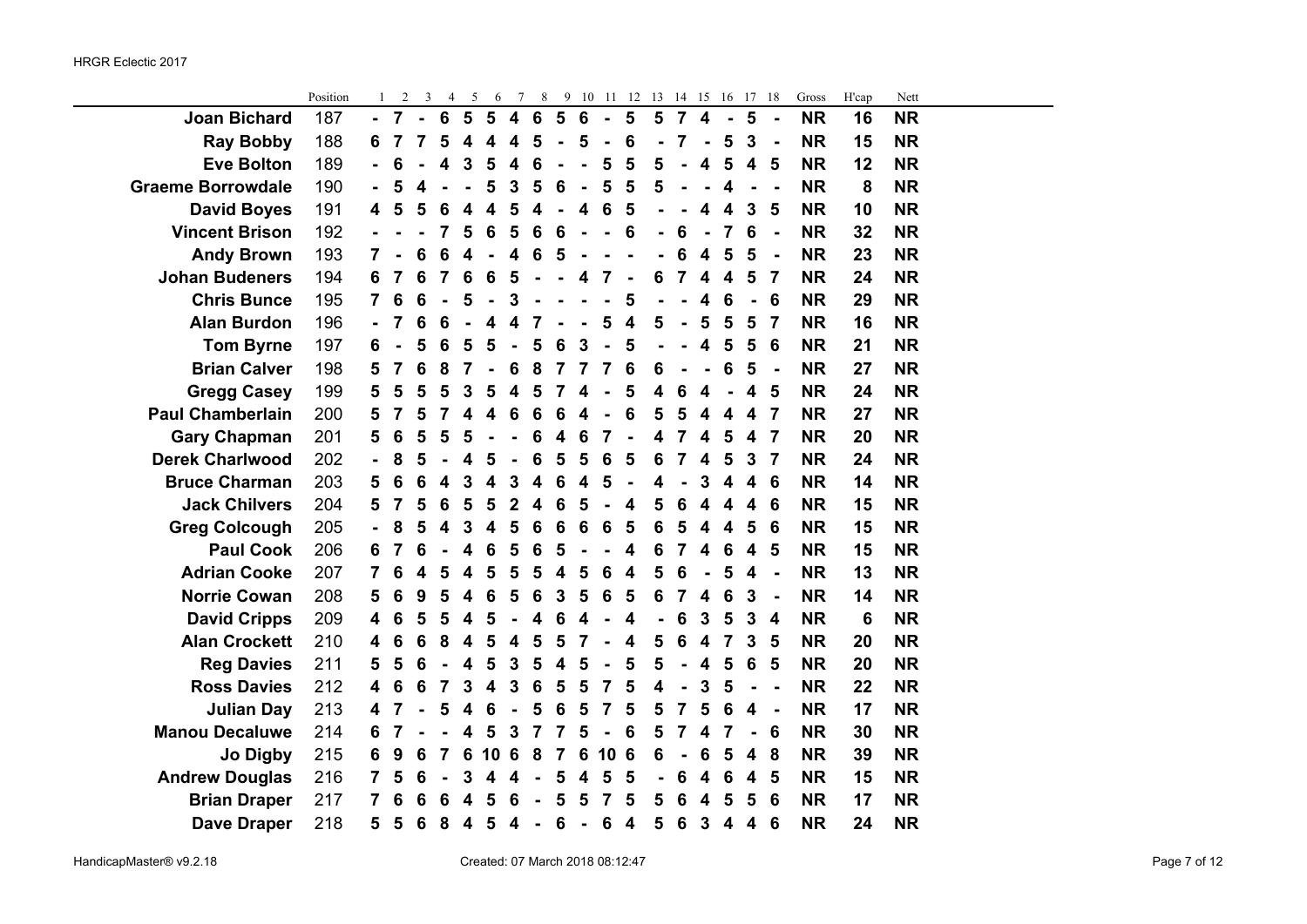|                          | Position | 1                       | 2               | 3 | 4               | 5                | 6  | $\tau$                  | 8               |   |                 |                 | 9 10 11 12 13 14 15 |                         |                |                         | 16                      | 17               | 18             | Gross     | H'cap | Nett      |  |
|--------------------------|----------|-------------------------|-----------------|---|-----------------|------------------|----|-------------------------|-----------------|---|-----------------|-----------------|---------------------|-------------------------|----------------|-------------------------|-------------------------|------------------|----------------|-----------|-------|-----------|--|
| <b>Joan Bichard</b>      | 187      |                         | $\overline{7}$  |   | $6\phantom{1}6$ | 5                | 5  | $\overline{\mathbf{4}}$ | $6\phantom{1}6$ | 5 | $6\phantom{1}6$ | $\blacksquare$  | 5                   | $5\phantom{1}$          | $\overline{7}$ | $\overline{\mathbf{4}}$ | ÷,                      | 5                | $\blacksquare$ | <b>NR</b> | 16    | <b>NR</b> |  |
| <b>Ray Bobby</b>         | 188      | 6                       | 7               | 7 | 5               | 4                | 4  | 4                       | 5               |   | 5               |                 | 6                   |                         | 7              |                         | 5                       | 3                | $\blacksquare$ | <b>NR</b> | 15    | <b>NR</b> |  |
| <b>Eve Bolton</b>        | 189      |                         | 6               |   | 4               | 3                | 5  | 4                       | 6               |   |                 | 5               | 5                   | 5                       |                | 4                       | 5                       | 4                | 5              | <b>NR</b> | 12    | <b>NR</b> |  |
| <b>Graeme Borrowdale</b> | 190      |                         | 5               |   |                 |                  | 5  | 3                       | 5               | 6 |                 | 5               | 5                   | 5                       |                |                         | 4                       |                  |                | <b>NR</b> | 8     | <b>NR</b> |  |
| <b>David Boyes</b>       | 191      | 4                       | 5               | 5 | 6               | 4                | 4  | 5                       | 4               |   | 4               | 6               | 5                   |                         |                | 4                       | 4                       | 3                | 5              | <b>NR</b> | 10    | <b>NR</b> |  |
| <b>Vincent Brison</b>    | 192      |                         |                 |   | 7               | 5                | 6  | 5                       | 6               | 6 |                 |                 | 6                   |                         | 6              |                         | 7                       | 6                | $\blacksquare$ | <b>NR</b> | 32    | <b>NR</b> |  |
| <b>Andy Brown</b>        | 193      | $\overline{7}$          |                 | 6 | 6               | 4                |    | 4                       | 6               | 5 |                 |                 |                     |                         | 6              | 4                       | 5                       | 5                | $\blacksquare$ | <b>NR</b> | 23    | <b>NR</b> |  |
| <b>Johan Budeners</b>    | 194      | 6                       | 7               | 6 | 7               | 6                | 6  | 5                       |                 |   | 4               | 7               |                     | 6                       | 7              | 4                       | 4                       | 5                | 7              | <b>NR</b> | 24    | <b>NR</b> |  |
| <b>Chris Bunce</b>       | 195      | $\overline{7}$          | 6               | 6 |                 | 5                |    | 3                       |                 |   |                 |                 | 5                   |                         |                | 4                       | 6                       |                  | 6              | <b>NR</b> | 29    | <b>NR</b> |  |
| <b>Alan Burdon</b>       | 196      |                         | 7               | 6 | 6               |                  | 4  | Δ                       |                 |   |                 | 5               | 4                   | 5                       |                | 5                       | 5                       | 5                | 7              | <b>NR</b> | 16    | <b>NR</b> |  |
| <b>Tom Byrne</b>         | 197      | 6                       |                 | 5 | 6               | 5                | 5  |                         | 5               | 6 | 3               |                 | 5                   |                         |                | 4                       | 5                       | 5                | 6              | <b>NR</b> | 21    | <b>NR</b> |  |
| <b>Brian Calver</b>      | 198      | 5                       | 7               | 6 | 8               | 7                |    | 6                       | 8               |   | 7               | 7               | 6                   | 6                       |                |                         | 6                       | 5                | $\blacksquare$ | <b>NR</b> | 27    | <b>NR</b> |  |
| <b>Gregg Casey</b>       | 199      | 5                       | 5               | 5 | 5               | 3                | 5  | 4                       | 5               |   | 4               |                 | 5                   | $\overline{\mathbf{4}}$ | 6              | 4                       |                         | 4                | 5              | <b>NR</b> | 24    | <b>NR</b> |  |
| <b>Paul Chamberlain</b>  | 200      | 5                       | 7               | 5 | 7               | 4                | 4  | 6                       | 6               | 6 | 4               |                 | 6                   | 5                       | 5              | 4                       |                         | 4                | 7              | <b>NR</b> | 27    | <b>NR</b> |  |
| <b>Gary Chapman</b>      | 201      | 5                       | $6\phantom{1}6$ | 5 | 5               | 5                |    |                         | 6               | 4 | 6               | 7               |                     | 4                       | 7              | 4                       | 5                       | 4                | 7              | <b>NR</b> | 20    | <b>NR</b> |  |
| <b>Derek Charlwood</b>   | 202      |                         | 8               | 5 |                 | 4                | 5  |                         | 6               | 5 | 5               | 6               | 5                   | 6                       | 7              | 4                       | 5                       | 3                | 7              | <b>NR</b> | 24    | <b>NR</b> |  |
| <b>Bruce Charman</b>     | 203      | 5                       | 6               | 6 | 4               | 3                | 4  | 3                       | 4               | 6 | 4               | 5               |                     | 4                       |                | 3                       | 4                       | 4                | 6              | <b>NR</b> | 14    | <b>NR</b> |  |
| <b>Jack Chilvers</b>     | 204      | 5                       | 7               | 5 | 6               | 5                | 5  | $\mathbf{2}$            | 4               | 6 | 5               | $\overline{a}$  | 4                   | 5                       | 6              | 4                       | 4                       | 4                | 6              | <b>NR</b> | 15    | <b>NR</b> |  |
| <b>Greg Colcough</b>     | 205      |                         | 8               | 5 | 4               | 3                | 4  | 5                       | 6               | 6 | 6               | 6               | 5                   | $6\phantom{1}6$         | 5              | $\overline{\mathbf{4}}$ | $\overline{\mathbf{4}}$ | 5                | 6              | <b>NR</b> | 15    | <b>NR</b> |  |
| <b>Paul Cook</b>         | 206      | 6                       | $\overline{7}$  | 6 |                 | 4                | 6  | 5                       | 6               | 5 |                 |                 | 4                   | $6\phantom{1}6$         | $\overline{7}$ | 4                       | 6                       | 4                | 5              | <b>NR</b> | 15    | <b>NR</b> |  |
| <b>Adrian Cooke</b>      | 207      | $\overline{7}$          | 6               | 4 | 5               | 4                | 5  | 5                       | 5               | 4 | 5               | 6               | 4                   | 5                       | 6              |                         | 5                       | 4                | $\blacksquare$ | <b>NR</b> | 13    | <b>NR</b> |  |
| <b>Norrie Cowan</b>      | 208      | 5                       | 6               | 9 | 5               | 4                | 6  | 5                       | 6               | 3 | 5               | 6               | 5                   | 6                       | 7              | 4                       | 6                       | 3                | $\blacksquare$ | <b>NR</b> | 14    | <b>NR</b> |  |
| <b>David Cripps</b>      | 209      | $\overline{\mathbf{4}}$ | 6               | 5 | 5               | 4                | 5  |                         | 4               | 6 | 4               |                 | 4                   |                         | 6              | $\overline{3}$          | 5                       | $\overline{3}$   | 4              | <b>NR</b> | 6     | <b>NR</b> |  |
| <b>Alan Crockett</b>     | 210      | 4                       | 6               | 6 | 8               | 4                | 5  | 4                       | 5               | 5 | 7               |                 | 4                   | 5                       | 6              | 4                       | 7                       | 3                | 5              | <b>NR</b> | 20    | <b>NR</b> |  |
| <b>Reg Davies</b>        | 211      | 5                       | 5               | 6 |                 | 4                | 5  | 3                       | 5               | 4 | 5               |                 | 5                   | 5                       |                | $\overline{\mathbf{4}}$ | 5                       | 6                | 5              | <b>NR</b> | 20    | <b>NR</b> |  |
| <b>Ross Davies</b>       | 212      | $\overline{\mathbf{4}}$ | 6               | 6 | 7               | 3                | 4  | 3                       | 6               | 5 | 5               | 7               | 5                   | 4                       |                | 3                       | 5                       |                  |                | <b>NR</b> | 22    | <b>NR</b> |  |
| <b>Julian Day</b>        | 213      | 4                       | 7               |   | 5               | 4                | 6  |                         | 5               | 6 | 5               | 7               | 5                   | 5                       | 7              | 5                       | 6                       | 4                | $\blacksquare$ | <b>NR</b> | 17    | <b>NR</b> |  |
| <b>Manou Decaluwe</b>    | 214      | 6                       | 7               |   |                 | 4                | 5  | 3                       | 7               |   | 5               | $\blacksquare$  | 6                   | 5                       | 7              | 4                       | 7                       |                  | 6              | <b>NR</b> | 30    | <b>NR</b> |  |
| <b>Jo Digby</b>          | 215      | 6                       | 9               | 6 | 7               | 6                | 10 | 6                       | 8               | 7 | 6               | 10              | 6                   | 6                       |                | 6                       | 5                       | 4                | 8              | <b>NR</b> | 39    | <b>NR</b> |  |
| <b>Andrew Douglas</b>    | 216      | $\overline{7}$          | 5               | 6 |                 | 3                | 4  | Δ                       |                 | 5 | 4               | 5               | 5                   |                         | 6              | 4                       | 6                       | 4                | 5              | <b>NR</b> | 15    | <b>NR</b> |  |
| <b>Brian Draper</b>      | 217      | 7                       | 6               | 6 | 6               | 4                | 5  | 6                       |                 | 5 | 5               | 7               | 5                   | 5                       | 6              | 4                       | 5                       | 5                | 6              | <b>NR</b> | 17    | <b>NR</b> |  |
| <b>Dave Draper</b>       | 218      | 5                       | 5               | 6 | 8               | $\boldsymbol{4}$ | 5  | 4                       |                 | 6 | $\blacksquare$  | $6\phantom{1}6$ | 4                   | 5                       | 6              | $\mathbf{3}$            | $\overline{\mathbf{4}}$ | $\boldsymbol{4}$ | 6              | <b>NR</b> | 24    | <b>NR</b> |  |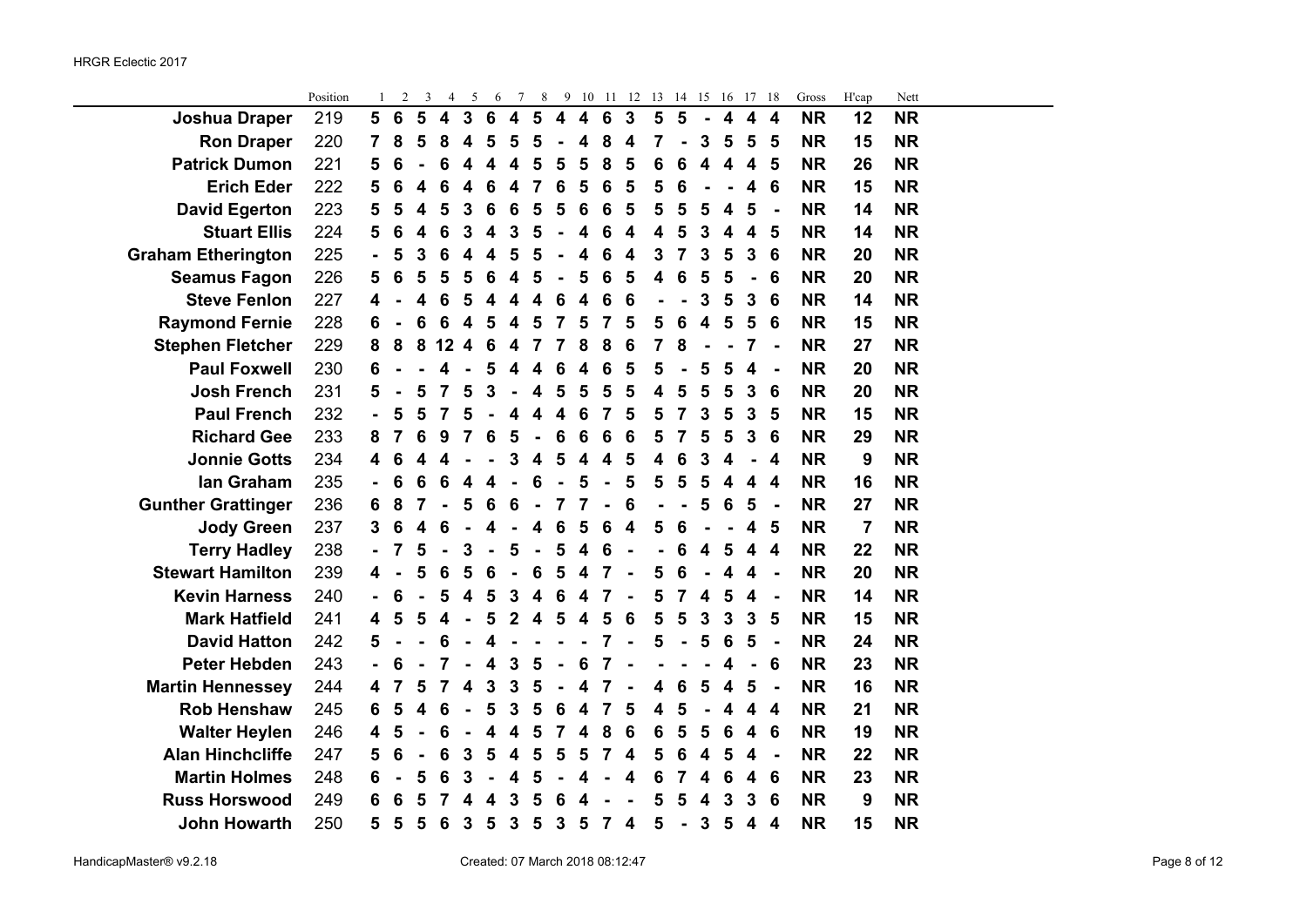÷.

|                           | Position | 1              | $\overline{2}$ | 3 | 4                       | 5                       | 6                       | 7                       | 8                        | 9                       | 10                      | 11                      | 12                      | 13             | 14 15           |                         | 16                      | 17                      | -18                     | Gross     | H'cap | Nett      |  |
|---------------------------|----------|----------------|----------------|---|-------------------------|-------------------------|-------------------------|-------------------------|--------------------------|-------------------------|-------------------------|-------------------------|-------------------------|----------------|-----------------|-------------------------|-------------------------|-------------------------|-------------------------|-----------|-------|-----------|--|
| <b>Joshua Draper</b>      | 219      | 5              | 6              | 5 | $\overline{\mathbf{4}}$ | $\mathbf{3}$            | $6\phantom{1}6$         | $\overline{\mathbf{4}}$ | 5                        | $\overline{\mathbf{4}}$ | $\overline{\mathbf{4}}$ | $6\phantom{1}6$         | $\overline{\mathbf{3}}$ | $5\phantom{1}$ | $5\phantom{1}$  | $\blacksquare$          | $\overline{\mathbf{4}}$ | $\overline{\mathbf{4}}$ | $\overline{\mathbf{4}}$ | <b>NR</b> | 12    | <b>NR</b> |  |
| <b>Ron Draper</b>         | 220      | 7              | 8              | 5 | 8                       | 4                       | 5                       | 5                       | 5                        | ÷,                      | 4                       | 8                       | $\overline{\mathbf{4}}$ | 7              |                 | 3                       | 5                       | 5                       | 5                       | <b>NR</b> | 15    | <b>NR</b> |  |
| <b>Patrick Dumon</b>      | 221      | 5              | 6              |   | 6                       | 4                       | 4                       | 4                       | 5                        | 5                       | 5                       | 8                       | 5                       | 6              | 6               | $\overline{\mathbf{4}}$ | 4                       | 4                       | 5                       | <b>NR</b> | 26    | <b>NR</b> |  |
| <b>Erich Eder</b>         | 222      | 5              | 6              | 4 | 6                       | 4                       | 6                       | $\overline{\mathbf{4}}$ | $\overline{7}$           | 6                       | 5                       | 6                       | 5                       | 5              | 6               | $\blacksquare$          | $\blacksquare$          | $\overline{\mathbf{4}}$ | 6                       | <b>NR</b> | 15    | <b>NR</b> |  |
| <b>David Egerton</b>      | 223      | 5              | 5              | 4 | 5                       | 3                       | 6                       | $\bf 6$                 | 5                        | 5                       | 6                       | $\bf 6$                 | 5                       | 5              | 5               | 5                       | $\overline{\mathbf{4}}$ | 5                       | $\blacksquare$          | <b>NR</b> | 14    | <b>NR</b> |  |
| <b>Stuart Ellis</b>       | 224      | 5              | 6              | 4 | 6                       | 3                       | $\overline{\mathbf{4}}$ | $\mathbf{3}$            | 5                        | $\blacksquare$          | $\overline{\mathbf{4}}$ | $\bf 6$                 | $\overline{\mathbf{4}}$ | 4              | 5               | 3                       | $\overline{\mathbf{4}}$ | $\overline{\mathbf{4}}$ | $5\phantom{1}$          | <b>NR</b> | 14    | <b>NR</b> |  |
| <b>Graham Etherington</b> | 225      | $\blacksquare$ | 5              | 3 | 6                       | 4                       | 4                       | 5                       | 5                        |                         | 4                       | 6                       | 4                       | 3              | 7               | 3                       | 5                       | 3                       | 6                       | <b>NR</b> | 20    | <b>NR</b> |  |
| <b>Seamus Fagon</b>       | 226      | 5              | 6              | 5 | 5                       | 5                       | 6                       | 4                       | 5                        | $\blacksquare$          | 5                       | $6\phantom{1}$          | 5                       | 4              | $6\phantom{1}6$ | 5                       | 5                       | $\blacksquare$          | 6                       | <b>NR</b> | 20    | <b>NR</b> |  |
| <b>Steve Fenlon</b>       | 227      | 4              |                | 4 | 6                       | 5                       | 4                       | 4                       | 4                        | 6                       | $\overline{\mathbf{4}}$ | 6                       | 6                       |                |                 | 3                       | 5                       | 3                       | 6                       | <b>NR</b> | 14    | <b>NR</b> |  |
| <b>Raymond Fernie</b>     | 228      | 6              |                | 6 | 6                       | 4                       | 5                       | 4                       | 5                        | $\overline{7}$          | 5                       | $\overline{7}$          | 5                       | 5              | 6               | 4                       | 5                       | 5                       | 6                       | <b>NR</b> | 15    | <b>NR</b> |  |
| <b>Stephen Fletcher</b>   | 229      | 8              | 8              | 8 | 12                      | 4                       | 6                       | 4                       | $\overline{7}$           | 7                       | 8                       | 8                       | 6                       | 7              | 8               | $\blacksquare$          | $\blacksquare$          | $\overline{7}$          | $\blacksquare$          | <b>NR</b> | 27    | <b>NR</b> |  |
| <b>Paul Foxwell</b>       | 230      | 6              |                |   | 4                       | $\blacksquare$          | 5                       | $\overline{\mathbf{4}}$ | $\overline{\mathbf{4}}$  | $6\phantom{1}6$         | 4                       | $6\phantom{1}6$         | 5                       | 5              | $\blacksquare$  | 5                       | $\overline{\mathbf{5}}$ | $\overline{\mathbf{4}}$ | $\blacksquare$          | <b>NR</b> | 20    | <b>NR</b> |  |
| <b>Josh French</b>        | 231      | 5              |                | 5 | 7                       | 5                       | $\overline{\mathbf{3}}$ |                         | $\overline{\mathbf{4}}$  | 5                       | 5                       | 5                       | 5                       | 4              | 5               | 5                       | 5                       | $\overline{3}$          | $6\phantom{1}6$         | <b>NR</b> | 20    | <b>NR</b> |  |
| <b>Paul French</b>        | 232      |                | 5              | 5 | 7                       | 5                       |                         | 4                       | 4                        | 4                       | 6                       | $\overline{7}$          | 5                       | 5              | 7               | 3                       | 5                       | 3                       | 5                       | <b>NR</b> | 15    | <b>NR</b> |  |
| <b>Richard Gee</b>        | 233      | 8              | 7              | 6 | 9                       | 7                       | 6                       | 5                       | $\blacksquare$           | $6\phantom{1}6$         | $6\phantom{1}6$         | $6\phantom{1}6$         | $6\phantom{1}6$         | 5              | 7               | 5                       | 5                       | 3                       | $6\phantom{1}6$         | <b>NR</b> | 29    | <b>NR</b> |  |
| <b>Jonnie Gotts</b>       | 234      | 4              | 6              | 4 | 4                       |                         |                         | 3                       | 4                        | 5                       | $\overline{\mathbf{4}}$ | $\overline{\mathbf{4}}$ | 5                       | 4              | 6               | 3                       | 4                       | ÷,                      | $\boldsymbol{4}$        | <b>NR</b> | 9     | <b>NR</b> |  |
| Ian Graham                | 235      | $\blacksquare$ | 6              | 6 | 6                       | 4                       | 4                       |                         | 6                        | $\blacksquare$          | 5                       | $\blacksquare$          | 5                       | 5              | 5               | 5                       | 4                       | 4                       | $\overline{\mathbf{4}}$ | <b>NR</b> | 16    | <b>NR</b> |  |
| <b>Gunther Grattinger</b> | 236      | 6              | 8              | 7 |                         | 5                       | $6\phantom{1}6$         | 6                       | $\blacksquare$           | $\overline{7}$          | 7                       | $\overline{a}$          | $6\phantom{1}6$         |                |                 | 5                       | 6                       | 5                       | $\overline{a}$          | <b>NR</b> | 27    | <b>NR</b> |  |
| <b>Jody Green</b>         | 237      | 3              | 6              | 4 | 6                       |                         | $\overline{\mathbf{4}}$ |                         | 4                        | 6                       | 5                       | $\bf 6$                 | $\overline{\mathbf{4}}$ | 5              | $6\phantom{1}6$ |                         |                         | 4                       | 5                       | <b>NR</b> | 7     | <b>NR</b> |  |
| <b>Terry Hadley</b>       | 238      | $\blacksquare$ | 7              | 5 |                         | 3                       |                         | 5                       | $\overline{\phantom{a}}$ | 5                       | $\overline{\mathbf{4}}$ | $6\phantom{1}6$         | $\blacksquare$          |                | 6               | 4                       | 5                       | 4                       | $\overline{\mathbf{4}}$ | <b>NR</b> | 22    | <b>NR</b> |  |
| <b>Stewart Hamilton</b>   | 239      | 4              |                | 5 | 6                       | 5                       | 6                       |                         | 6                        | 5                       | 4                       | 7                       | $\blacksquare$          | 5              | 6               |                         | 4                       | 4                       | $\blacksquare$          | <b>NR</b> | 20    | <b>NR</b> |  |
| <b>Kevin Harness</b>      | 240      |                | 6              |   | 5                       | 4                       | 5                       | $\overline{3}$          | $\overline{\mathbf{4}}$  | 6                       | 4                       | 7                       |                         | 5              | 7               | $\overline{\mathbf{4}}$ | 5                       | $\overline{\mathbf{4}}$ | $\blacksquare$          | <b>NR</b> | 14    | <b>NR</b> |  |
| <b>Mark Hatfield</b>      | 241      | 4              | 5              | 5 | 4                       |                         | 5                       | $\overline{2}$          | $\overline{\mathbf{4}}$  | 5                       | $\overline{\mathbf{4}}$ | 5                       | $6\phantom{1}6$         | 5              | 5               | $\overline{\mathbf{3}}$ | 3                       | $\overline{3}$          | 5                       | <b>NR</b> | 15    | <b>NR</b> |  |
| <b>David Hatton</b>       | 242      | 5              |                |   | 6                       |                         | 4                       |                         |                          |                         |                         | 7                       | ÷,                      | 5              | $\blacksquare$  | 5                       | 6                       | 5                       | $\blacksquare$          | <b>NR</b> | 24    | <b>NR</b> |  |
| <b>Peter Hebden</b>       | 243      |                | 6              |   | 7                       |                         | 4                       | $\mathbf{3}$            | 5                        | ÷,                      | 6                       | 7                       |                         |                |                 |                         | 4                       | $\blacksquare$          | 6                       | <b>NR</b> | 23    | <b>NR</b> |  |
| <b>Martin Hennessey</b>   | 244      | 4              | 7              | 5 | 7                       | $\overline{\mathbf{4}}$ | 3                       | $\overline{3}$          | 5                        | $\blacksquare$          | 4                       | $\overline{7}$          |                         | 4              | 6               | 5                       | 4                       | 5                       | $\blacksquare$          | <b>NR</b> | 16    | <b>NR</b> |  |
| <b>Rob Henshaw</b>        | 245      | 6              | 5              | 4 | 6                       |                         | 5                       | 3                       | 5                        | 6                       | 4                       | $\overline{7}$          | 5                       | 4              | 5               |                         | 4                       | 4                       | $\boldsymbol{4}$        | <b>NR</b> | 21    | <b>NR</b> |  |
| <b>Walter Heylen</b>      | 246      | 4              | 5              |   | 6                       |                         | 4                       | 4                       | 5                        | 7                       | 4                       | 8                       | 6                       | 6              | 5               | 5                       | 6                       | $\overline{\mathbf{4}}$ | $6\phantom{1}6$         | <b>NR</b> | 19    | <b>NR</b> |  |
| <b>Alan Hinchcliffe</b>   | 247      | 5              | 6              |   | 6                       | 3                       | 5                       | $\overline{\mathbf{4}}$ | 5                        | 5                       | 5                       | $\overline{7}$          | $\overline{\mathbf{4}}$ | 5              | 6               | 4                       | 5                       | $\overline{\mathbf{4}}$ | $\blacksquare$          | <b>NR</b> | 22    | <b>NR</b> |  |
| <b>Martin Holmes</b>      | 248      | 6              |                | 5 | 6                       | 3                       |                         | 4                       | 5                        |                         | 4                       |                         | 4                       | 6              | 7               | 4                       | 6                       | 4                       | 6                       | <b>NR</b> | 23    | <b>NR</b> |  |
| <b>Russ Horswood</b>      | 249      | 6              | 6              | 5 | 7                       | 4                       | 4                       | $\mathbf{3}$            | 5                        | 6                       | 4                       |                         |                         | 5              | 5               | 4                       | 3                       | 3                       | 6                       | <b>NR</b> | 9     | <b>NR</b> |  |
| <b>John Howarth</b>       | 250      | 5              | 5              | 5 | $6\phantom{1}6$         | $\mathbf{3}$            | 5                       | $\overline{3}$          | 5                        | $\overline{3}$          | $5\phantom{1}$          | $\overline{7}$          | $\overline{\mathbf{4}}$ | 5              |                 | $\mathbf{3}$            | 5                       | $\overline{\mathbf{4}}$ | $\boldsymbol{4}$        | <b>NR</b> | 15    | <b>NR</b> |  |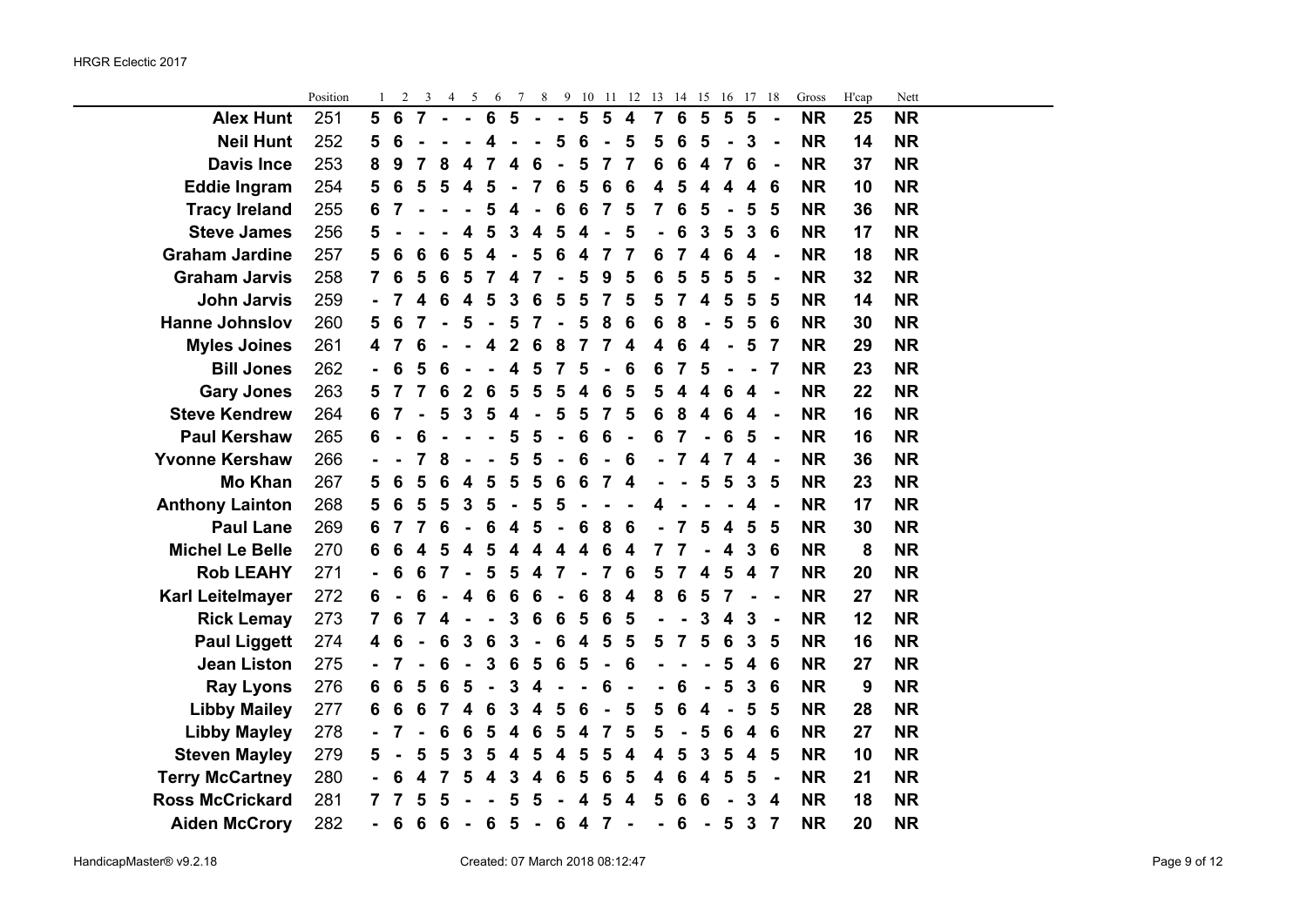|                        | Position | 1              | 2               | 3                       | 4               | 5                       | 6                       | 7                       | 8                       | 9              | 10               | 11             | - 12                    | 13                      | 14              | 15                      | 16                      | 17                      | -18            | Gross     | H'cap | Nett      |  |
|------------------------|----------|----------------|-----------------|-------------------------|-----------------|-------------------------|-------------------------|-------------------------|-------------------------|----------------|------------------|----------------|-------------------------|-------------------------|-----------------|-------------------------|-------------------------|-------------------------|----------------|-----------|-------|-----------|--|
| <b>Alex Hunt</b>       | 251      | 5              | 6               | $\overline{7}$          | $\blacksquare$  | $\blacksquare$          | $\bf 6$                 | 5                       | $\blacksquare$          | $\blacksquare$ | 5                | 5              | $\overline{\mathbf{4}}$ | $\overline{7}$          | $6\phantom{1}6$ | $\overline{\mathbf{5}}$ | 5                       | $5\phantom{1}$          | $\blacksquare$ | <b>NR</b> | 25    | <b>NR</b> |  |
| <b>Neil Hunt</b>       | 252      | 5              | 6               |                         |                 |                         | 4                       |                         |                         | 5              | 6                | $\blacksquare$ | 5                       | 5                       | $6\phantom{1}6$ | 5                       |                         | $\mathbf{3}$            | $\blacksquare$ | <b>NR</b> | 14    | <b>NR</b> |  |
| <b>Davis Ince</b>      | 253      | 8              | 9               | 7                       | 8               | $\boldsymbol{4}$        | 7                       | $\overline{\mathbf{4}}$ | 6                       |                | 5                | 7              | 7                       | 6                       | 6               | $\overline{\mathbf{4}}$ | $\overline{7}$          | 6                       | $\blacksquare$ | <b>NR</b> | 37    | <b>NR</b> |  |
| <b>Eddie Ingram</b>    | 254      | 5              | 6               | 5                       | 5               | $\overline{\mathbf{4}}$ | 5                       | $\blacksquare$          | $\overline{7}$          | 6              | 5                | 6              | 6                       | 4                       | 5               | 4                       | 4                       | $\overline{\mathbf{4}}$ | 6              | <b>NR</b> | 10    | <b>NR</b> |  |
| <b>Tracy Ireland</b>   | 255      | 6              | 7               |                         | $\blacksquare$  | $\blacksquare$          | 5                       | $\overline{\mathbf{4}}$ | $\blacksquare$          | 6              | 6                | $\overline{7}$ | 5                       | 7                       | 6               | 5                       |                         | 5                       | 5              | <b>NR</b> | 36    | <b>NR</b> |  |
| <b>Steve James</b>     | 256      | 5              |                 |                         |                 | $\overline{\mathbf{4}}$ | 5                       | $\overline{\mathbf{3}}$ | $\boldsymbol{4}$        | 5              | 4                |                | 5                       | $\blacksquare$          | 6               | 3                       | 5                       | 3                       | 6              | <b>NR</b> | 17    | <b>NR</b> |  |
| <b>Graham Jardine</b>  | 257      | 5              | 6               | $6\phantom{1}6$         | $6\phantom{1}6$ | 5                       | $\overline{\mathbf{4}}$ |                         | 5                       | 6              | 4                | 7              | 7                       | 6                       | $\overline{7}$  | 4                       | 6                       | 4                       | $\blacksquare$ | <b>NR</b> | 18    | <b>NR</b> |  |
| <b>Graham Jarvis</b>   | 258      | $\overline{7}$ | 6               | 5                       | 6               | 5                       | 7                       | 4                       | 7                       |                | 5                | 9              | 5                       | 6                       | 5               | 5                       | 5                       | 5                       | $\blacksquare$ | <b>NR</b> | 32    | <b>NR</b> |  |
| <b>John Jarvis</b>     | 259      |                |                 | 4                       | $6\phantom{1}6$ | $\overline{\mathbf{4}}$ | 5                       | 3                       | 6                       | 5              | 5                | 7              | 5                       | 5                       | 7               | 4                       | 5                       | 5                       | 5              | <b>NR</b> | 14    | <b>NR</b> |  |
| <b>Hanne Johnslov</b>  | 260      | 5              | 6               | 7                       | $\blacksquare$  | 5                       | $\blacksquare$          | 5                       | 7                       |                | 5                | 8              | 6                       | 6                       | 8               |                         | 5                       | $5\phantom{1}$          | 6              | <b>NR</b> | 30    | <b>NR</b> |  |
| <b>Myles Joines</b>    | 261      | 4              | 7               | 6                       |                 |                         | 4                       | $\mathbf 2$             | 6                       | 8              | 7                | $\overline{7}$ | 4                       | 4                       | 6               | 4                       |                         | 5                       | $\overline{7}$ | <b>NR</b> | 29    | <b>NR</b> |  |
| <b>Bill Jones</b>      | 262      |                | 6               | 5                       | 6               |                         |                         | $\overline{\mathbf{4}}$ | 5                       | 7              | 5                |                | 6                       | 6                       | $\overline{7}$  | 5                       |                         |                         | 7              | <b>NR</b> | 23    | <b>NR</b> |  |
| <b>Gary Jones</b>      | 263      | 5              | 7               | $\overline{7}$          | $6\phantom{1}6$ | $\overline{2}$          | $\bf 6$                 | 5                       | 5                       | 5              | 4                | 6              | 5                       | 5                       | 4               | $\overline{\mathbf{4}}$ | 6                       | 4                       | $\blacksquare$ | <b>NR</b> | 22    | <b>NR</b> |  |
| <b>Steve Kendrew</b>   | 264      | 6              | 7               | $\blacksquare$          | 5               | 3                       | 5                       | 4                       |                         | 5              | 5                | $\overline{7}$ | 5                       | 6                       | 8               | 4                       | 6                       | 4                       | $\blacksquare$ | <b>NR</b> | 16    | <b>NR</b> |  |
| <b>Paul Kershaw</b>    | 265      | 6              |                 | 6                       |                 |                         | ÷,                      | 5                       | 5                       | $\blacksquare$ | 6                | 6              | $\blacksquare$          | 6                       | 7               | $\blacksquare$          | 6                       | 5                       | $\blacksquare$ | <b>NR</b> | 16    | <b>NR</b> |  |
| <b>Yvonne Kershaw</b>  | 266      |                |                 | 7                       | 8               |                         |                         | 5                       | 5                       |                | 6                |                | 6                       |                         | 7               | 4                       | 7                       | $\overline{\mathbf{4}}$ | $\blacksquare$ | <b>NR</b> | 36    | <b>NR</b> |  |
| <b>Mo Khan</b>         | 267      | 5              | $6\phantom{1}6$ | 5                       | 6               | $\overline{\mathbf{4}}$ | 5                       | 5                       | 5                       | 6              | 6                | 7              | 4                       |                         |                 | 5                       | 5                       | $\mathbf{3}$            | 5              | <b>NR</b> | 23    | <b>NR</b> |  |
| <b>Anthony Lainton</b> | 268      | 5              | 6               | 5                       | 5               | 3                       | 5                       | $\blacksquare$          | 5                       | 5              |                  |                |                         | 4                       |                 |                         |                         | 4                       | $\blacksquare$ | <b>NR</b> | 17    | <b>NR</b> |  |
| <b>Paul Lane</b>       | 269      | 6              | 7               | 7                       | $6\phantom{1}6$ | $\blacksquare$          | 6                       | $\overline{\mathbf{4}}$ | 5                       | $\blacksquare$ | 6                | 8              | 6                       |                         | 7               | 5                       | $\overline{\mathbf{4}}$ | 5                       | 5              | <b>NR</b> | 30    | <b>NR</b> |  |
| <b>Michel Le Belle</b> | 270      | 6              | 6               | $\overline{\mathbf{4}}$ | 5               | $\overline{\mathbf{4}}$ | 5                       | $\overline{\mathbf{4}}$ | $\overline{\mathbf{4}}$ | 4              | 4                | 6              | 4                       | 7                       | 7               |                         | 4                       | $\mathbf{3}$            | 6              | <b>NR</b> | 8     | <b>NR</b> |  |
| <b>Rob LEAHY</b>       | 271      |                | 6               | 6                       | 7               | $\blacksquare$          | 5                       | 5                       | 4                       | 7              |                  | 7              | 6                       | 5                       | 7               | 4                       | 5                       | 4                       | $\overline{7}$ | <b>NR</b> | 20    | <b>NR</b> |  |
| Karl Leitelmayer       | 272      | 6              |                 | 6                       |                 | $\overline{\mathbf{4}}$ | $6\phantom{1}6$         | $6\phantom{1}6$         | $6\phantom{1}6$         | $\blacksquare$ | 6                | 8              | 4                       | 8                       | $6\phantom{1}6$ | 5                       | 7                       |                         | $\blacksquare$ | <b>NR</b> | 27    | <b>NR</b> |  |
| <b>Rick Lemay</b>      | 273      | 7              | 6               | 7                       | 4               | $\blacksquare$          |                         | 3                       | 6                       | 6              | 5                | 6              | 5                       |                         |                 | 3                       | 4                       | 3                       | $\blacksquare$ | <b>NR</b> | 12    | <b>NR</b> |  |
| <b>Paul Liggett</b>    | 274      | 4              | 6               | $\blacksquare$          | 6               | 3                       | 6                       | $\mathbf{3}$            | $\blacksquare$          | 6              | 4                | 5              | 5                       | 5                       | $\overline{7}$  | 5                       | $6\phantom{1}6$         | 3                       | 5              | <b>NR</b> | 16    | <b>NR</b> |  |
| <b>Jean Liston</b>     | 275      |                | 7               |                         | $6\phantom{1}6$ | $\blacksquare$          | $\mathbf{3}$            | $6\phantom{1}6$         | 5                       | 6              | 5                | $\blacksquare$ | 6                       |                         |                 |                         | 5                       | $\overline{\mathbf{4}}$ | 6              | <b>NR</b> | 27    | <b>NR</b> |  |
| <b>Ray Lyons</b>       | 276      | 6              | $6\phantom{1}6$ | $\overline{\mathbf{5}}$ | $6\phantom{1}6$ | $\overline{\mathbf{5}}$ | $\blacksquare$          | $\mathbf{3}$            | 4                       |                |                  | 6              |                         |                         | 6               |                         | 5                       | $\mathbf{3}$            | 6              | <b>NR</b> | 9     | <b>NR</b> |  |
| <b>Libby Mailey</b>    | 277      | 6              | $6\phantom{1}6$ | 6                       | 7               | 4                       | 6                       | $\mathbf{3}$            | 4                       | 5              | 6                |                | 5                       | 5                       | 6               | $\overline{\mathbf{4}}$ |                         | 5                       | 5              | <b>NR</b> | 28    | <b>NR</b> |  |
| <b>Libby Mayley</b>    | 278      |                | 7               | $\blacksquare$          | 6               | 6                       | 5                       | $\overline{\mathbf{4}}$ | 6                       | 5              | 4                | 7              | 5                       | 5                       |                 | 5                       | 6                       | $\boldsymbol{4}$        | 6              | <b>NR</b> | 27    | <b>NR</b> |  |
| <b>Steven Mayley</b>   | 279      | 5              |                 | 5                       | 5               | 3                       | 5                       | $\overline{\mathbf{4}}$ | 5                       | 4              | 5                | 5              | 4                       | $\overline{\mathbf{4}}$ | 5               | 3                       | 5                       | $\overline{\mathbf{4}}$ | 5              | <b>NR</b> | 10    | <b>NR</b> |  |
| <b>Terry McCartney</b> | 280      |                | 6               | 4                       | $\overline{7}$  | 5                       | $\overline{\mathbf{4}}$ | $\mathbf{3}$            | 4                       | 6              | 5                | 6              | 5                       | 4                       | 6               | $\overline{\mathbf{4}}$ | 5                       | 5                       | $\blacksquare$ | <b>NR</b> | 21    | <b>NR</b> |  |
| <b>Ross McCrickard</b> | 281      | 7              | 7               | 5                       | 5               |                         |                         | 5                       | 5                       |                | 4                | 5              | 4                       | 5                       | 6               | 6                       |                         | 3                       | 4              | <b>NR</b> | 18    | <b>NR</b> |  |
| <b>Aiden McCrory</b>   | 282      |                | $6\phantom{1}6$ | $6\phantom{1}6$         | 6               | $\blacksquare$          | 6                       | 5                       | $\blacksquare$          | 6              | $\boldsymbol{4}$ | 7              |                         | ÷,                      | $6\phantom{1}6$ | $\blacksquare$          | 5                       | $\mathbf{3}$            | $\overline{7}$ | <b>NR</b> | 20    | <b>NR</b> |  |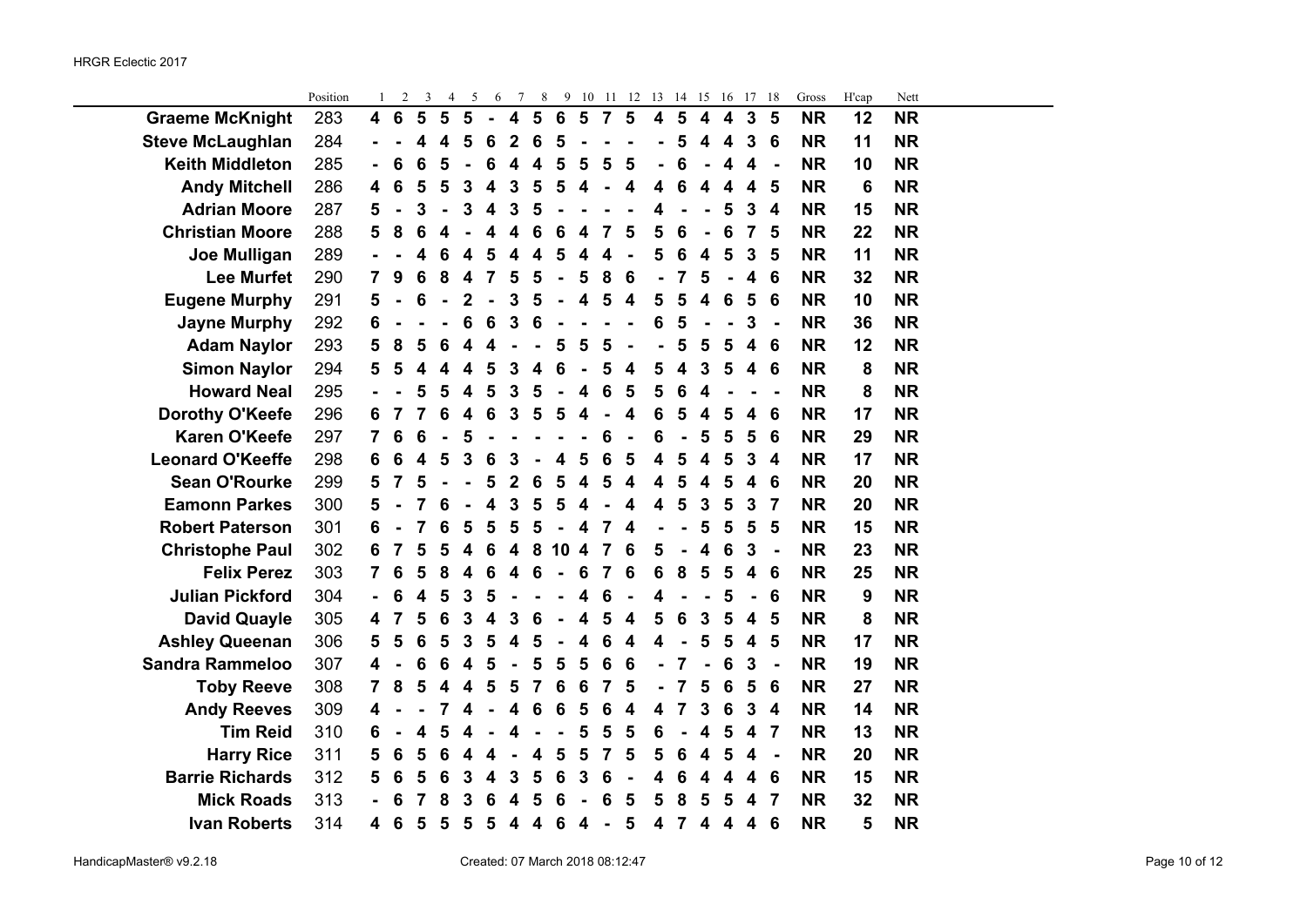|                         | Position | 1                       | $\overline{2}$  | 3                       | 4                       | 5                       | 6                       | 7                       | 8                       | 9                       | 10                      | -11            | 12                      | 13 | 14                      | 15                      | 16                      | 17                      | 18                      | Gross     | H'cap | Nett      |  |
|-------------------------|----------|-------------------------|-----------------|-------------------------|-------------------------|-------------------------|-------------------------|-------------------------|-------------------------|-------------------------|-------------------------|----------------|-------------------------|----|-------------------------|-------------------------|-------------------------|-------------------------|-------------------------|-----------|-------|-----------|--|
| <b>Graeme McKnight</b>  | 283      | $\overline{\mathbf{4}}$ | $6\phantom{1}$  | $5\phantom{1}$          | 5                       | $5\phantom{1}$          | $\overline{a}$          | $\overline{\mathbf{4}}$ | $5\phantom{1}$          | $6\phantom{1}6$         | $5\phantom{1}$          | $\overline{7}$ | $5\phantom{1}$          | 4  | $5\phantom{1}$          | $\overline{\mathbf{4}}$ | $\overline{\mathbf{4}}$ | $\mathbf{3}$            | 5                       | <b>NR</b> | 12    | <b>NR</b> |  |
| <b>Steve McLaughlan</b> | 284      |                         |                 | 4                       | $\overline{\mathbf{4}}$ | 5                       | 6                       | $\overline{2}$          | 6                       | 5                       |                         |                |                         |    | 5                       | 4                       | 4                       | 3                       | 6                       | <b>NR</b> | 11    | <b>NR</b> |  |
| <b>Keith Middleton</b>  | 285      | $\blacksquare$          | 6               | 6                       | 5                       | $\blacksquare$          | 6                       | $\overline{\mathbf{4}}$ | $\overline{\mathbf{4}}$ | 5                       | 5                       | 5              | 5                       |    | 6                       |                         | 4                       | 4                       | $\blacksquare$          | <b>NR</b> | 10    | <b>NR</b> |  |
| <b>Andy Mitchell</b>    | 286      | 4                       | 6               | 5                       | 5                       | 3                       | $\overline{\mathbf{4}}$ | 3                       | 5                       | 5                       | $\overline{\mathbf{4}}$ | $\blacksquare$ | 4                       | 4  | 6                       | 4                       | 4                       | 4                       | 5                       | <b>NR</b> | 6     | <b>NR</b> |  |
| <b>Adrian Moore</b>     | 287      | 5                       | $\blacksquare$  | 3                       | $\blacksquare$          | 3                       | $\overline{\mathbf{4}}$ | 3                       | 5                       |                         |                         |                |                         | 4  | $\blacksquare$          | $\blacksquare$          | 5                       | $\mathbf{3}$            | $\overline{\mathbf{4}}$ | <b>NR</b> | 15    | <b>NR</b> |  |
| <b>Christian Moore</b>  | 288      | 5                       | 8               | 6                       | $\overline{\mathbf{4}}$ |                         | $\overline{\mathbf{4}}$ | $\overline{\mathbf{4}}$ | 6                       | $6\phantom{1}6$         | 4                       | $\overline{7}$ | 5                       | 5  | 6                       |                         | 6                       | $\overline{7}$          | 5                       | <b>NR</b> | 22    | <b>NR</b> |  |
| Joe Mulligan            | 289      |                         |                 | 4                       | 6                       | 4                       | 5                       | 4                       | 4                       | 5                       | 4                       | 4              |                         | 5  | 6                       | 4                       | 5                       | $\mathbf{3}$            | 5                       | <b>NR</b> | 11    | <b>NR</b> |  |
| <b>Lee Murfet</b>       | 290      | 7                       | 9               | 6                       | 8                       | 4                       | $\overline{7}$          | 5                       | 5                       | $\blacksquare$          | 5                       | 8              | 6                       |    | 7                       | 5                       |                         | 4                       | 6                       | <b>NR</b> | 32    | <b>NR</b> |  |
| <b>Eugene Murphy</b>    | 291      | 5                       | $\blacksquare$  | 6                       | $\blacksquare$          | $\mathbf 2$             | $\blacksquare$          | 3                       | 5                       |                         | 4                       | 5              | $\overline{\mathbf{4}}$ | 5  | 5                       | 4                       | 6                       | 5                       | 6                       | <b>NR</b> | 10    | <b>NR</b> |  |
| <b>Jayne Murphy</b>     | 292      | 6                       |                 |                         |                         | 6                       | $6\phantom{1}6$         | $\mathbf 3$             | 6                       |                         |                         |                |                         | 6  | 5                       |                         |                         | 3                       | $\blacksquare$          | <b>NR</b> | 36    | <b>NR</b> |  |
| <b>Adam Naylor</b>      | 293      | 5                       | 8               | 5                       | 6                       | 4                       | 4                       | ÷,                      | Ĭ.                      | 5                       | 5                       | 5              | $\blacksquare$          |    | 5                       | 5                       | 5                       | $\overline{\mathbf{4}}$ | 6                       | <b>NR</b> | 12    | <b>NR</b> |  |
| <b>Simon Naylor</b>     | 294      | 5                       | 5               | $\overline{\mathbf{4}}$ | $\overline{\mathbf{4}}$ | $\overline{\mathbf{4}}$ | 5                       | $\mathbf 3$             | $\overline{\mathbf{4}}$ | $6\phantom{1}6$         | $\blacksquare$          | 5              | 4                       | 5  | $\overline{\mathbf{4}}$ | $\mathbf{3}$            | 5                       | $\overline{\mathbf{4}}$ | 6                       | <b>NR</b> | 8     | <b>NR</b> |  |
| <b>Howard Neal</b>      | 295      |                         |                 | 5                       | 5                       | 4                       | 5                       | $\overline{\mathbf{3}}$ | 5                       |                         | 4                       | 6              | 5                       | 5  | 6                       | 4                       |                         |                         |                         | <b>NR</b> | 8     | <b>NR</b> |  |
| Dorothy O'Keefe         | 296      | 6                       | 7               | 7                       | 6                       | 4                       | $6\phantom{1}6$         | 3                       | 5                       | 5                       | 4                       |                | 4                       | 6  | 5                       | 4                       | 5                       | 4                       | 6                       | <b>NR</b> | 17    | <b>NR</b> |  |
| <b>Karen O'Keefe</b>    | 297      | 7                       | 6               | 6                       | $\blacksquare$          | 5                       |                         |                         |                         |                         |                         | 6              | $\blacksquare$          | 6  |                         | 5                       | 5                       | 5                       | $6\phantom{1}6$         | <b>NR</b> | 29    | <b>NR</b> |  |
| <b>Leonard O'Keeffe</b> | 298      | 6                       | 6               | $\overline{\mathbf{4}}$ | 5                       | 3                       | 6                       | 3                       |                         | $\overline{\mathbf{4}}$ | 5                       | 6              | 5                       | 4  | 5                       | 4                       | 5                       | 3                       | $\boldsymbol{4}$        | <b>NR</b> | 17    | <b>NR</b> |  |
| <b>Sean O'Rourke</b>    | 299      | 5                       | 7               | 5                       |                         | ä,                      | 5                       | $\overline{2}$          | 6                       | 5                       | 4                       | 5              | 4                       | 4  | 5                       | 4                       | 5                       | 4                       | 6                       | <b>NR</b> | 20    | <b>NR</b> |  |
| <b>Eamonn Parkes</b>    | 300      | 5                       |                 | 7                       | 6                       | $\blacksquare$          | $\overline{\mathbf{4}}$ | $\overline{\mathbf{3}}$ | 5                       | 5                       | $\overline{\mathbf{4}}$ | $\blacksquare$ | 4                       | 4  | $5\phantom{1}$          | $\mathbf{3}$            | 5                       | $\mathbf{3}$            | $\overline{7}$          | <b>NR</b> | 20    | <b>NR</b> |  |
| <b>Robert Paterson</b>  | 301      | 6                       |                 | 7                       | 6                       | 5                       | $\overline{\mathbf{5}}$ | $\overline{\mathbf{5}}$ | 5                       | $\blacksquare$          | $\overline{\mathbf{4}}$ | 7              | 4                       |    | $\blacksquare$          | 5                       | 5                       | 5                       | 5                       | <b>NR</b> | 15    | <b>NR</b> |  |
| <b>Christophe Paul</b>  | 302      | 6                       | 7               | 5                       | 5                       | 4                       | $6\phantom{1}6$         | 4                       | 8                       | 10                      | $\overline{\mathbf{4}}$ | $\overline{7}$ | 6                       | 5  |                         | 4                       | 6                       | 3                       | $\blacksquare$          | <b>NR</b> | 23    | <b>NR</b> |  |
| <b>Felix Perez</b>      | 303      | 7                       | 6               | 5                       | 8                       | 4                       | 6                       | 4                       | 6                       | $\blacksquare$          | 6                       | 7              | 6                       | 6  | 8                       | 5                       | 5                       | 4                       | $6\phantom{1}6$         | <b>NR</b> | 25    | <b>NR</b> |  |
| <b>Julian Pickford</b>  | 304      |                         | 6               | 4                       | 5                       | 3                       | 5                       |                         |                         |                         | 4                       | 6              | ÷,                      | 4  |                         |                         | 5                       | $\blacksquare$          | 6                       | <b>NR</b> | 9     | <b>NR</b> |  |
| <b>David Quayle</b>     | 305      | 4                       | 7               | 5                       | $6\phantom{1}6$         | $\overline{3}$          | 4                       | 3                       | 6                       |                         | 4                       | 5              | 4                       | 5  | 6                       | $\mathbf{3}$            | 5                       | 4                       | 5                       | <b>NR</b> | 8     | <b>NR</b> |  |
| <b>Ashley Queenan</b>   | 306      | 5                       | 5               | 6                       | 5                       | 3                       | 5                       | 4                       | 5                       | $\blacksquare$          | 4                       | 6              | 4                       | 4  |                         | 5                       | 5                       | 4                       | 5                       | <b>NR</b> | 17    | <b>NR</b> |  |
| <b>Sandra Rammeloo</b>  | 307      | $\overline{\mathbf{4}}$ |                 | $6\phantom{1}6$         | $6\phantom{1}6$         | $\boldsymbol{4}$        | 5                       | $\blacksquare$          | 5                       | 5                       | 5                       | 6              | $6\phantom{1}6$         |    | 7                       |                         | $6\phantom{1}6$         | 3                       | $\overline{a}$          | <b>NR</b> | 19    | <b>NR</b> |  |
| <b>Toby Reeve</b>       | 308      | $\overline{7}$          | 8               | 5                       | $\overline{\mathbf{4}}$ | 4                       | 5                       | 5                       | $\overline{7}$          | $6\phantom{1}6$         | 6                       | $\overline{7}$ | 5                       |    | 7                       | 5                       | $6\phantom{1}6$         | 5                       | 6                       | <b>NR</b> | 27    | <b>NR</b> |  |
| <b>Andy Reeves</b>      | 309      | 4                       |                 |                         | 7                       | 4                       |                         | 4                       | 6                       | 6                       | 5                       | 6              | 4                       | 4  | 7                       | 3                       | 6                       | 3                       | 4                       | <b>NR</b> | 14    | <b>NR</b> |  |
| <b>Tim Reid</b>         | 310      | 6                       |                 | 4                       | 5                       | 4                       |                         | 4                       |                         | $\blacksquare$          | 5                       | 5              | 5                       | 6  |                         | 4                       | 5                       | 4                       | $\overline{\mathbf{7}}$ | <b>NR</b> | 13    | <b>NR</b> |  |
| <b>Harry Rice</b>       | 311      | 5                       | $6\phantom{1}6$ | 5                       | 6                       | 4                       | 4                       |                         | 4                       | 5                       | 5                       | $\overline{7}$ | 5                       | 5  | 6                       | 4                       | 5                       | 4                       | $\blacksquare$          | <b>NR</b> | 20    | <b>NR</b> |  |
| <b>Barrie Richards</b>  | 312      | 5                       | 6               | 5                       | 6                       | 3                       | 4                       | 3                       | 5                       | $\bf 6$                 | 3                       | 6              | $\blacksquare$          | 4  | 6                       | 4                       | 4                       | 4                       | 6                       | <b>NR</b> | 15    | <b>NR</b> |  |
| <b>Mick Roads</b>       | 313      | L,                      | 6               | 7                       | 8                       | 3                       | 6                       | 4                       | 5                       | 6                       |                         | 6              | 5                       | 5  | 8                       | 5                       | 5                       | 4                       | $\overline{7}$          | <b>NR</b> | 32    | <b>NR</b> |  |
| <b>Ivan Roberts</b>     | 314      | 4                       | $6\phantom{1}6$ | 5                       | 5                       | $5\phantom{1}$          | $5\phantom{1}$          | $\overline{\mathbf{4}}$ | $\overline{\mathbf{4}}$ | 6                       | $\overline{\mathbf{4}}$ | $\blacksquare$ | 5                       | 4  | $\overline{7}$          | 4                       | $\overline{\mathbf{4}}$ | $\overline{\mathbf{4}}$ | 6                       | <b>NR</b> | 5     | <b>NR</b> |  |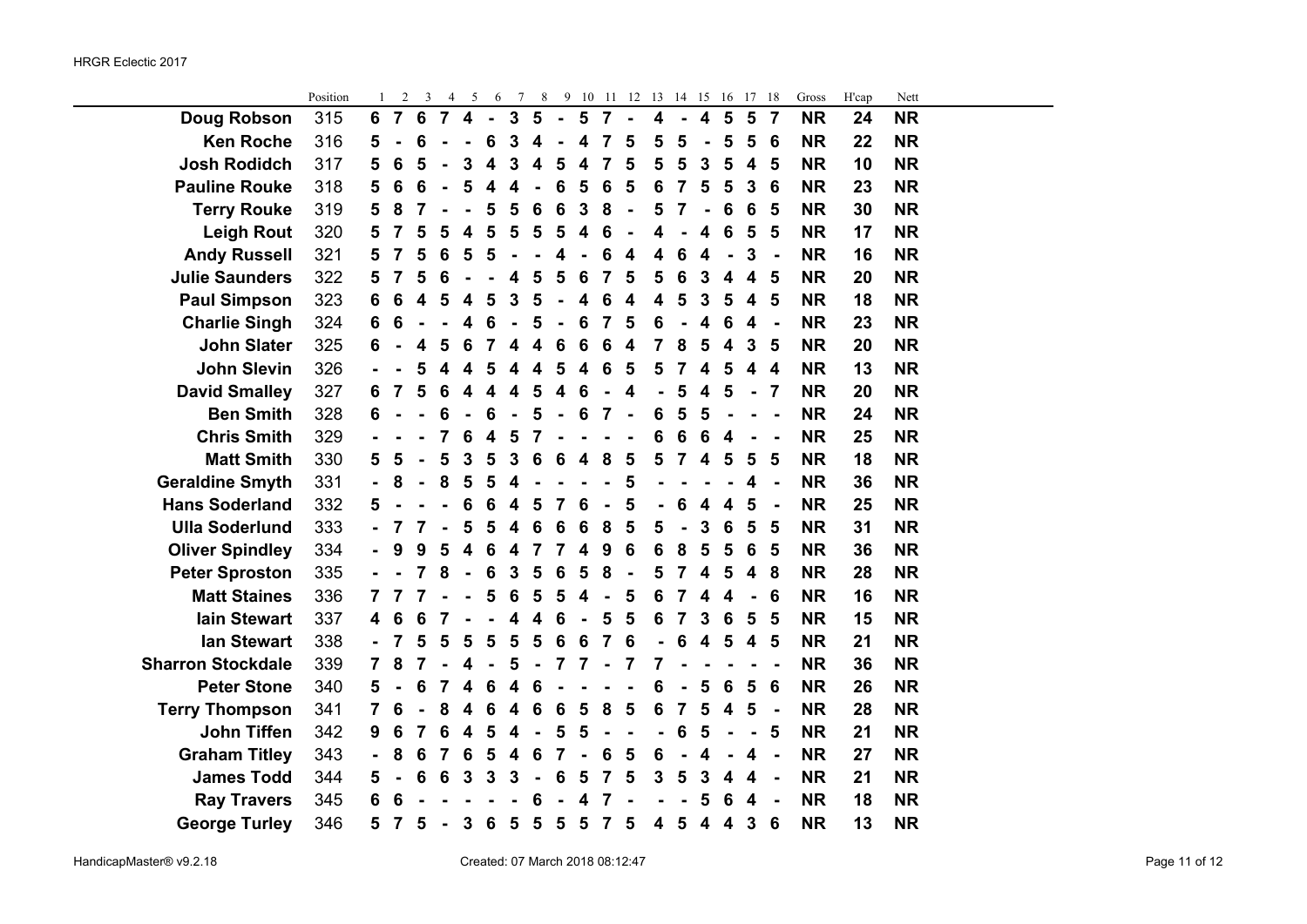÷.

|                          | Position | 1                        | $\overline{c}$  | 3                       | 4               | 5                            | 6                       | 7                       | 8                       |                         |                         |                | 9 10 11 12       | 13 14 15       |                         |                         | -16                     | 17 18                   |                         | Gross     | H'cap | Nett      |  |
|--------------------------|----------|--------------------------|-----------------|-------------------------|-----------------|------------------------------|-------------------------|-------------------------|-------------------------|-------------------------|-------------------------|----------------|------------------|----------------|-------------------------|-------------------------|-------------------------|-------------------------|-------------------------|-----------|-------|-----------|--|
| Doug Robson              | 315      | 6                        | $\overline{7}$  | $6\phantom{1}6$         | $\overline{7}$  | $\overline{4}$               | $\blacksquare$          | $\overline{\mathbf{3}}$ | 5                       | $\blacksquare$          | 5                       | $\overline{7}$ |                  | 4              | $\blacksquare$          | $\overline{\mathbf{4}}$ | $\overline{\mathbf{5}}$ | 5                       | $\overline{7}$          | <b>NR</b> | 24    | <b>NR</b> |  |
| <b>Ken Roche</b>         | 316      | 5                        |                 | 6                       |                 |                              | 6                       | 3                       | 4                       |                         | 4                       | 7              | 5                | 5              | 5                       | $\blacksquare$          | 5                       | 5                       | 6                       | <b>NR</b> | 22    | <b>NR</b> |  |
| <b>Josh Rodidch</b>      | 317      | 5                        | 6               | 5                       |                 | 3                            | $\overline{\mathbf{4}}$ | 3                       | 4                       | 5                       | $\boldsymbol{4}$        | 7              | 5                | 5              | 5                       | 3                       | 5                       | $\overline{\mathbf{4}}$ | 5                       | <b>NR</b> | 10    | <b>NR</b> |  |
| <b>Pauline Rouke</b>     | 318      | 5                        | 6               | 6                       |                 | 5                            | 4                       | 4                       |                         | 6                       | 5                       | 6              | 5                | 6              | 7                       | 5                       | 5                       | 3                       | 6                       | <b>NR</b> | 23    | <b>NR</b> |  |
| <b>Terry Rouke</b>       | 319      | 5                        | 8               | 7                       |                 |                              | 5                       | 5                       | 6                       | $6\phantom{1}6$         | 3                       | 8              | $\blacksquare$   | 5              | $\overline{\mathbf{r}}$ | $\blacksquare$          | 6                       | 6                       | 5                       | <b>NR</b> | 30    | <b>NR</b> |  |
| <b>Leigh Rout</b>        | 320      | 5                        | 7               | 5                       | 5               | $\overline{\mathbf{4}}$      | 5                       | 5                       | 5                       | 5                       | $\overline{\mathbf{4}}$ | 6              |                  | 4              |                         | 4                       | 6                       | 5                       | 5                       | <b>NR</b> | 17    | <b>NR</b> |  |
| <b>Andy Russell</b>      | 321      | 5                        | $\overline{7}$  | 5                       | 6               | 5                            | 5                       |                         |                         | 4                       |                         | 6              | 4                | 4              | 6                       | 4                       |                         | 3                       | $\blacksquare$          | <b>NR</b> | 16    | <b>NR</b> |  |
| <b>Julie Saunders</b>    | 322      | 5                        | 7               | 5                       | 6               |                              |                         | 4                       | 5                       | 5                       | 6                       | 7              | 5                | 5              | 6                       | 3                       | 4                       | $\overline{\mathbf{4}}$ | 5                       | <b>NR</b> | 20    | <b>NR</b> |  |
| <b>Paul Simpson</b>      | 323      | 6                        | $6\phantom{1}6$ | $\overline{\mathbf{4}}$ | 5               | $\overline{\mathbf{4}}$      | 5                       | $\overline{3}$          | 5                       |                         | 4                       | 6              | $\boldsymbol{4}$ | 4              | 5                       | 3                       | 5                       | $\boldsymbol{4}$        | 5                       | <b>NR</b> | 18    | <b>NR</b> |  |
| <b>Charlie Singh</b>     | 324      | 6                        | 6               |                         |                 | 4                            | 6                       |                         | 5                       |                         | 6                       | $\overline{7}$ | 5                | 6              |                         | 4                       | 6                       | 4                       | $\blacksquare$          | <b>NR</b> | 23    | <b>NR</b> |  |
| <b>John Slater</b>       | 325      | 6                        |                 | 4                       | 5               | 6                            | 7                       | 4                       | 4                       | 6                       | 6                       | 6              | 4                | 7              | 8                       | 5                       | 4                       | 3                       | 5                       | <b>NR</b> | 20    | <b>NR</b> |  |
| <b>John Slevin</b>       | 326      |                          |                 | 5                       | 4               | $\overline{\mathbf{4}}$      | 5                       | $\overline{\mathbf{4}}$ | 4                       | 5                       | $\overline{\mathbf{4}}$ | 6              | 5                | 5              | $\overline{7}$          | $\overline{\mathbf{4}}$ | 5                       | $\overline{\mathbf{4}}$ | $\overline{\mathbf{4}}$ | <b>NR</b> | 13    | <b>NR</b> |  |
| <b>David Smalley</b>     | 327      | 6                        | $\overline{7}$  | 5                       | $6\phantom{1}6$ | $\overline{\mathbf{4}}$      | $\overline{\mathbf{4}}$ | $\overline{\mathbf{4}}$ | 5                       | $\overline{\mathbf{4}}$ | 6                       |                | 4                |                | 5                       | 4                       | 5                       | ÷,                      | $\overline{7}$          | <b>NR</b> | 20    | <b>NR</b> |  |
| <b>Ben Smith</b>         | 328      | 6                        |                 |                         | 6               | $\qquad \qquad \blacksquare$ | 6                       | $\blacksquare$          | 5                       |                         | 6                       | 7              |                  | 6              | 5                       | 5                       |                         |                         | $\blacksquare$          | <b>NR</b> | 24    | <b>NR</b> |  |
| <b>Chris Smith</b>       | 329      |                          |                 |                         | 7               | 6                            | $\overline{\mathbf{4}}$ | 5                       | 7                       |                         |                         |                |                  | 6              | 6                       | 6                       | 4                       |                         |                         | <b>NR</b> | 25    | <b>NR</b> |  |
| <b>Matt Smith</b>        | 330      | 5                        | 5               |                         | 5               | $\mathbf 3$                  | 5                       | 3                       | $6\phantom{1}6$         | 6                       | $\overline{\mathbf{4}}$ | 8              | 5                | 5              | 7                       | 4                       | 5                       | 5                       | 5                       | <b>NR</b> | 18    | <b>NR</b> |  |
| <b>Geraldine Smyth</b>   | 331      |                          | 8               |                         | 8               | 5                            | $\overline{\mathbf{5}}$ | 4                       |                         |                         |                         |                | 5                |                |                         |                         |                         | 4                       | ÷                       | <b>NR</b> | 36    | <b>NR</b> |  |
| <b>Hans Soderland</b>    | 332      | 5                        |                 |                         |                 | 6                            | $\bf 6$                 | $\overline{\mathbf{4}}$ | 5                       | 7                       | 6                       |                | 5                | $\blacksquare$ | 6                       | 4                       | 4                       | 5                       | $\blacksquare$          | <b>NR</b> | 25    | <b>NR</b> |  |
| <b>Ulla Soderlund</b>    | 333      |                          |                 | $\overline{7}$          | $\blacksquare$  | 5                            | 5                       | $\overline{\mathbf{4}}$ | 6                       | 6                       | 6                       | 8              | 5                | 5              | $\blacksquare$          | 3                       | 6                       | 5                       | 5                       | <b>NR</b> | 31    | <b>NR</b> |  |
| <b>Oliver Spindley</b>   | 334      |                          | 9               | 9                       | 5               | $\overline{\mathbf{4}}$      | 6                       | 4                       | $\overline{7}$          | $\overline{7}$          | 4                       | 9              | 6                | 6              | 8                       | 5                       | 5                       | $6\phantom{1}6$         | 5                       | <b>NR</b> | 36    | <b>NR</b> |  |
| <b>Peter Sproston</b>    | 335      |                          |                 | 7                       | 8               | $\blacksquare$               | 6                       | 3                       | 5                       | 6                       | 5                       | 8              | $\blacksquare$   | 5              | 7                       | 4                       | 5                       | 4                       | 8                       | <b>NR</b> | 28    | <b>NR</b> |  |
| <b>Matt Staines</b>      | 336      | 7                        |                 |                         |                 |                              | 5                       | 6                       | 5                       | 5                       | 4                       |                | 5                | 6              | 7                       | 4                       | 4                       | ÷,                      | 6                       | <b>NR</b> | 16    | <b>NR</b> |  |
| <b>lain Stewart</b>      | 337      | 4                        | 6               | 6                       | 7               |                              |                         | 4                       | $\overline{\mathbf{4}}$ | 6                       |                         | 5              | 5                | 6              | 7                       | 3                       | 6                       | 5                       | 5                       | <b>NR</b> | 15    | <b>NR</b> |  |
| <b>lan Stewart</b>       | 338      |                          | 7               | 5                       | 5               | 5                            | 5                       | 5                       | 5                       | $6\phantom{1}6$         | 6                       | 7              | 6                | $\blacksquare$ | 6                       | $\overline{\mathbf{4}}$ | 5                       | $\overline{\mathbf{4}}$ | 5                       | <b>NR</b> | 21    | <b>NR</b> |  |
| <b>Sharron Stockdale</b> | 339      | 7                        | 8               | 7                       |                 | 4                            | $\blacksquare$          | 5                       | $\blacksquare$          | $\overline{7}$          | $\overline{7}$          | $\blacksquare$ | 7                | $\overline{7}$ |                         |                         |                         |                         |                         | <b>NR</b> | 36    | <b>NR</b> |  |
| <b>Peter Stone</b>       | 340      | 5                        |                 | 6                       | 7               | $\overline{\mathbf{4}}$      | $\bf 6$                 | $\overline{\mathbf{4}}$ | 6                       |                         |                         |                |                  | 6              |                         | 5                       | 6                       | 5                       | 6                       | <b>NR</b> | 26    | <b>NR</b> |  |
| <b>Terry Thompson</b>    | 341      | $\overline{\mathbf{7}}$  | 6               |                         | 8               | 4                            | 6                       | 4                       | 6                       | $6\phantom{1}6$         | 5                       | 8              | 5                | 6              | 7                       | 5                       | 4                       | 5                       | $\blacksquare$          | <b>NR</b> | 28    | <b>NR</b> |  |
| <b>John Tiffen</b>       | 342      | 9                        | 6               | 7                       | 6               | $\overline{\mathbf{4}}$      | 5                       | 4                       |                         | 5                       | 5                       |                |                  |                | 6                       | 5                       | $\blacksquare$          | $\blacksquare$          | 5                       | <b>NR</b> | 21    | <b>NR</b> |  |
| <b>Graham Titley</b>     | 343      | $\overline{\phantom{0}}$ | 8               | 6                       | 7               | 6                            | 5                       | $\overline{\mathbf{4}}$ | 6                       | 7                       |                         | 6              | 5                | 6              |                         | 4                       | $\blacksquare$          | 4                       | ä,                      | <b>NR</b> | 27    | <b>NR</b> |  |
| <b>James Todd</b>        | 344      | 5                        |                 | 6                       | $6\phantom{1}6$ | $\mathbf{3}$                 | $\overline{\mathbf{3}}$ | 3                       |                         | 6                       | 5                       | $\overline{7}$ | 5                | 3              | $\overline{\mathbf{5}}$ | $\overline{\mathbf{3}}$ | $\overline{\mathbf{4}}$ | 4                       | $\blacksquare$          | <b>NR</b> | 21    | <b>NR</b> |  |
| <b>Ray Travers</b>       | 345      | 6                        | 6               |                         |                 |                              |                         |                         | 6                       |                         | 4                       | 7              |                  |                |                         | 5                       | 6                       | 4                       |                         | <b>NR</b> | 18    | <b>NR</b> |  |
| <b>George Turley</b>     | 346      | 5                        | 7               | 5                       |                 | $\mathbf{3}$                 | 6                       | $5\phantom{1}$          | 5                       | $5\phantom{1}$          | 5                       | $\overline{7}$ | 5                | 4              | $5\phantom{1}$          | $\overline{\mathbf{4}}$ | $\overline{\mathbf{4}}$ | $\mathbf{3}$            | 6                       | <b>NR</b> | 13    | <b>NR</b> |  |